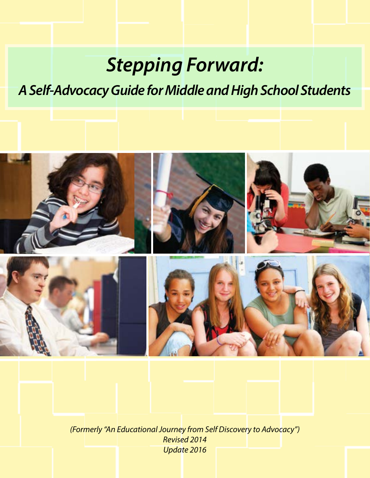# *Stepping Forward:*

## *A Self-Advocacy Guide for Middle and High School Students*



*(Formerly "An Educational Journey from Self Discovery to Advocacy") Revised 2014 Update 2016*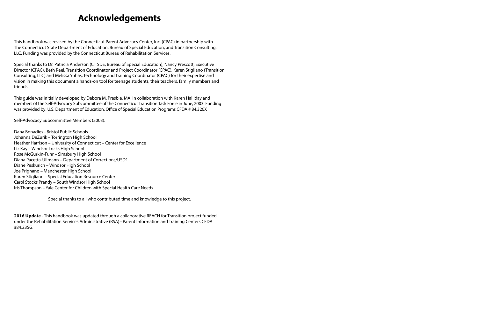## **Acknowledgements**

This handbook was revised by the Connecticut Parent Advocacy Center, Inc. (CPAC) in partnership with The Connecticut State Department of Education, Bureau of Special Education, and Transition Consulting, LLC. Funding was provided by the Connecticut Bureau of Rehabilitation Services.

Special thanks to Dr. Patricia Anderson (CT SDE, Bureau of Special Education), Nancy Prescott, Executive Director (CPAC), Beth Reel, Transition Coordinator and Project Coordinator (CPAC), Karen Stigliano (Transition Consulting, LLC) and Melissa Yuhas, Technology and Training Coordinator (CPAC) for their expertise and vision in making this document a hands-on tool for teenage students, their teachers, family members and friends.

This guide was initially developed by Debora M. Presbie, MA, in collaboration with Karen Halliday and members of the Self-Advocacy Subcommittee of the Connecticut Transition Task Force in June, 2003. Funding was provided by: U.S. Department of Education, Office of Special Education Programs CFDA # 84.326X

Self-Advocacy Subcommittee Members (2003):

Dana Bonadies - Bristol Public Schools Johanna DeZurik – Torrington High School Heather Harrison – University of Connecticut – Center for Excellence Liz Kay – Windsor Locks High School Rose McGurkin-Fuhr – Simsbury High School Diana Pacetta-Ullmann – Department of Corrections/USD1 Diane Peskurich – Windsor High School Joe Prignano – Manchester High School Karen Stigliano – Special Education Resource Center Carol Stocks Prandy – South Windsor High School Iris Thompson – Yale Center for Children with Special Health Care Needs

Special thanks to all who contributed time and knowledge to this project.

**2016 Update** - This handbook was updated through a collaborative REACH for Transition project funded under the Rehabilitation Services Administrative (RSA) - Parent Information and Training Centers CFDA #84.235G.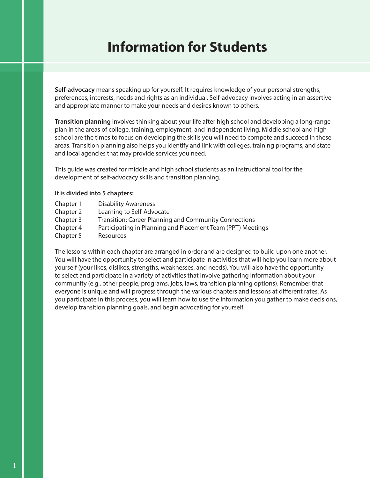## **Information for Students**

**Self-advocacy** means speaking up for yourself. It requires knowledge of your personal strengths, preferences, interests, needs and rights as an individual. Self-advocacy involves acting in an assertive and appropriate manner to make your needs and desires known to others.

**Transition planning** involves thinking about your life after high school and developing a long-range plan in the areas of college, training, employment, and independent living. Middle school and high school are the times to focus on developing the skills you will need to compete and succeed in these areas. Transition planning also helps you identify and link with colleges, training programs, and state and local agencies that may provide services you need.

This guide was created for middle and high school students as an instructional tool for the development of self-advocacy skills and transition planning.

#### **It is divided into 5 chapters:**

| Chapter 1 | <b>Disability Awareness</b>                                  |
|-----------|--------------------------------------------------------------|
| Chapter 2 | Learning to Self-Advocate                                    |
| Chapter 3 | <b>Transition: Career Planning and Community Connections</b> |
| Chapter 4 | Participating in Planning and Placement Team (PPT) Meetings  |
| Chapter 5 | <b>Resources</b>                                             |

The lessons within each chapter are arranged in order and are designed to build upon one another. You will have the opportunity to select and participate in activities that will help you learn more about yourself (your likes, dislikes, strengths, weaknesses, and needs). You will also have the opportunity to select and participate in a variety of activities that involve gathering information about your community (e.g., other people, programs, jobs, laws, transition planning options). Remember that everyone is unique and will progress through the various chapters and lessons at different rates. As you participate in this process, you will learn how to use the information you gather to make decisions, develop transition planning goals, and begin advocating for yourself.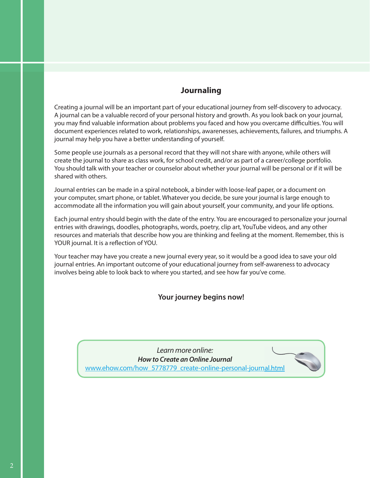#### **Journaling**

Creating a journal will be an important part of your educational journey from self-discovery to advocacy. A journal can be a valuable record of your personal history and growth. As you look back on your journal, you may find valuable information about problems you faced and how you overcame difficulties. You will document experiences related to work, relationships, awarenesses, achievements, failures, and triumphs. A journal may help you have a better understanding of yourself.

Some people use journals as a personal record that they will not share with anyone, while others will create the journal to share as class work, for school credit, and/or as part of a career/college portfolio. You should talk with your teacher or counselor about whether your journal will be personal or if it will be shared with others.

Journal entries can be made in a spiral notebook, a binder with loose-leaf paper, or a document on your computer, smart phone, or tablet. Whatever you decide, be sure your journal is large enough to accommodate all the information you will gain about yourself, your community, and your life options.

Each journal entry should begin with the date of the entry. You are encouraged to personalize your journal entries with drawings, doodles, photographs, words, poetry, clip art, YouTube videos, and any other resources and materials that describe how you are thinking and feeling at the moment. Remember, this is YOUR journal. It is a reflection of YOU.

Your teacher may have you create a new journal every year, so it would be a good idea to save your old journal entries. An important outcome of your educational journey from self-awareness to advocacy involves being able to look back to where you started, and see how far you've come.

#### **Your journey begins now!**

*Learn more online: How to Create an Online Journal* www.ehow.com/how 5778779 create-online-personal-journal.html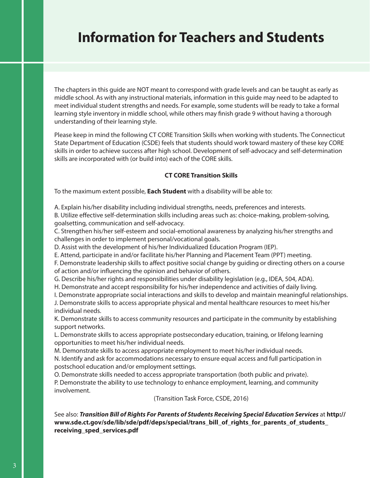### **Information for Teachers and Students**

The chapters in this guide are NOT meant to correspond with grade levels and can be taught as early as middle school. As with any instructional materials, information in this guide may need to be adapted to meet individual student strengths and needs. For example, some students will be ready to take a formal learning style inventory in middle school, while others may finish grade 9 without having a thorough understanding of their learning style.

Please keep in mind the following CT CORE Transition Skills when working with students. The Connecticut State Department of Education (CSDE) feels that students should work toward mastery of these key CORE skills in order to achieve success after high school. Development of self-advocacy and self-determination skills are incorporated with (or build into) each of the CORE skills.

#### **CT CORE Transition Skills**

To the maximum extent possible, **Each Student** with a disability will be able to:

A. Explain his/her disability including individual strengths, needs, preferences and interests.

B. Utilize effective self-determination skills including areas such as: choice-making, problem-solving, goalsetting, communication and self-advocacy.

C. Strengthen his/her self-esteem and social-emotional awareness by analyzing his/her strengths and challenges in order to implement personal/vocational goals.

D. Assist with the development of his/her Individualized Education Program (IEP).

E. Attend, participate in and/or facilitate his/her Planning and Placement Team (PPT) meeting.

F. Demonstrate leadership skills to affect positive social change by guiding or directing others on a course of action and/or influencing the opinion and behavior of others.

G. Describe his/her rights and responsibilities under disability legislation (e.g., IDEA, 504, ADA).

H. Demonstrate and accept responsibility for his/her independence and activities of daily living.

I. Demonstrate appropriate social interactions and skills to develop and maintain meaningful relationships. J. Demonstrate skills to access appropriate physical and mental healthcare resources to meet his/her

individual needs.

K. Demonstrate skills to access community resources and participate in the community by establishing support networks.

L. Demonstrate skills to access appropriate postsecondary education, training, or lifelong learning opportunities to meet his/her individual needs.

M. Demonstrate skills to access appropriate employment to meet his/her individual needs.

N. Identify and ask for accommodations necessary to ensure equal access and full participation in postschool education and/or employment settings.

O. Demonstrate skills needed to access appropriate transportation (both public and private). P. Demonstrate the ability to use technology to enhance employment, learning, and community involvement.

(Transition Task Force, CSDE, 2016)

See also: *Transition Bill of Rights For Parents of Students Receiving Special Education Services* at **http:// www.sde.ct.gov/sde/lib/sde/pdf/deps/special/trans\_bill\_of\_rights\_for\_parents\_of\_students\_ receiving\_sped\_services.pdf**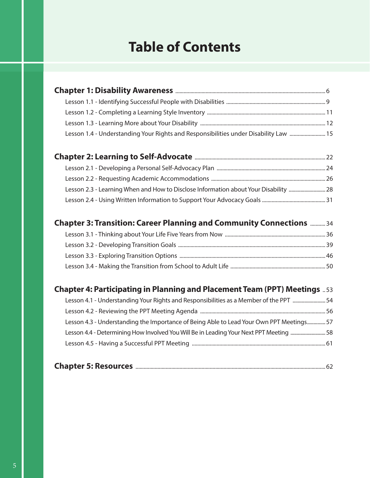## **Table of Contents**

| Lesson 1.4 - Understanding Your Rights and Responsibilities under Disability Law  15 |  |
|--------------------------------------------------------------------------------------|--|
|                                                                                      |  |
|                                                                                      |  |
|                                                                                      |  |
|                                                                                      |  |
|                                                                                      |  |

| Chapter 3: Transition: Career Planning and Community Connections  34 |  |
|----------------------------------------------------------------------|--|
|                                                                      |  |

Lesson 2.4 - Using Written Information to Support Your Advocacy Goals .............................................. 31

### **Chapter 4: Participating in Planning and Placement Team (PPT) Meetings** .. 53

| Lesson 4.1 - Understanding Your Rights and Responsibilities as a Member of the PPT  54   |  |
|------------------------------------------------------------------------------------------|--|
|                                                                                          |  |
| Lesson 4.3 - Understanding the Importance of Being Able to Lead Your Own PPT Meetings 57 |  |
| Lesson 4.4 - Determining How Involved You Will Be in Leading Your Next PPT Meeting  58   |  |
|                                                                                          |  |
|                                                                                          |  |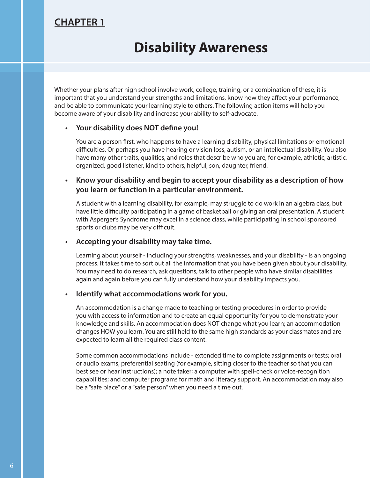### **CHAPTER 1**

### **Disability Awareness**

Whether your plans after high school involve work, college, training, or a combination of these, it is important that you understand your strengths and limitations, know how they affect your performance, and be able to communicate your learning style to others. The following action items will help you become aware of your disability and increase your ability to self-advocate.

#### **•** Your disability does NOT define you!

You are a person first, who happens to have a learning disability, physical limitations or emotional difficulties. Or perhaps you have hearing or vision loss, autism, or an intellectual disability. You also have many other traits, qualities, and roles that describe who you are, for example, athletic, artistic, organized, good listener, kind to others, helpful, son, daughter, friend.

#### **• Know your disability and begin to accept your disability as a description of how you learn or function in a particular environment.**

A student with a learning disability, for example, may struggle to do work in an algebra class, but have little difficulty participating in a game of basketball or giving an oral presentation. A student with Asperger's Syndrome may excel in a science class, while participating in school sponsored sports or clubs may be very difficult.

#### **• Accepting your disability may take time.**

Learning about yourself - including your strengths, weaknesses, and your disability - is an ongoing process. It takes time to sort out all the information that you have been given about your disability. You may need to do research, ask questions, talk to other people who have similar disabilities again and again before you can fully understand how your disability impacts you.

#### **• Identify what accommodations work for you.**

An accommodation is a change made to teaching or testing procedures in order to provide you with access to information and to create an equal opportunity for you to demonstrate your knowledge and skills. An accommodation does NOT change what you learn; an accommodation changes HOW you learn. You are still held to the same high standards as your classmates and are expected to learn all the required class content.

Some common accommodations include - extended time to complete assignments or tests; oral or audio exams; preferential seating (for example, sitting closer to the teacher so that you can best see or hear instructions); a note taker; a computer with spell-check or voice-recognition capabilities; and computer programs for math and literacy support. An accommodation may also be a "safe place" or a "safe person" when you need a time out.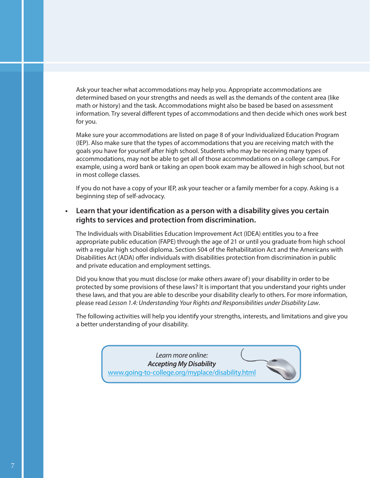Ask your teacher what accommodations may help you. Appropriate accommodations are determined based on your strengths and needs as well as the demands of the content area (like math or history) and the task. Accommodations might also be based be based on assessment information. Try several different types of accommodations and then decide which ones work best for you.

Make sure your accommodations are listed on page 8 of your Individualized Education Program (IEP). Also make sure that the types of accommodations that you are receiving match with the goals you have for yourself after high school. Students who may be receiving many types of accommodations, may not be able to get all of those accommodations on a college campus. For example, using a word bank or taking an open book exam may be allowed in high school, but not in most college classes.

If you do not have a copy of your IEP, ask your teacher or a family member for a copy. Asking is a beginning step of self-advocacy.

#### **Learn that your identification as a person with a disability gives you certain rights to services and protection from discrimination.**

The Individuals with Disabilities Education Improvement Act (IDEA) entitles you to a free appropriate public education (FAPE) through the age of 21 or until you graduate from high school with a regular high school diploma. Section 504 of the Rehabilitation Act and the Americans with Disabilities Act (ADA) offer individuals with disabilities protection from discrimination in public and private education and employment settings.

Did you know that you must disclose (or make others aware of) your disability in order to be protected by some provisions of these laws? It is important that you understand your rights under these laws, and that you are able to describe your disability clearly to others. For more information, please read *Lesson 1.4: Understanding Your Rights and Responsibilities under Disability Law*.

The following activities will help you identify your strengths, interests, and limitations and give you a better understanding of your disability.

> *Learn more online: Accepting My Disability* www.going-to-college.org/myplace/disability.html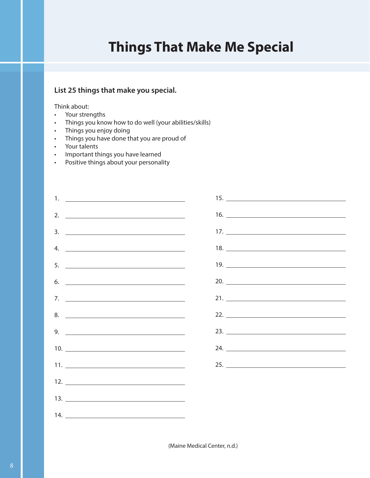## **Things That Make Me Special**

#### **List 25 things that make you special.**

#### Think about:

- Your strengths
- Things you know how to do well (your abilities/skills)
- Things you enjoy doing
- Things you have done that you are proud of
- Your talents
- Important things you have learned
- Positive things about your personality

| 1. <u>_____________________________</u> |     |
|-----------------------------------------|-----|
| 2. $\qquad \qquad$                      |     |
| $\frac{3}{2}$                           |     |
| 4. $\qquad \qquad$                      |     |
|                                         |     |
|                                         | 20. |
|                                         |     |
|                                         |     |
| 9. $\overline{\phantom{a}}$             |     |
|                                         | 24. |
|                                         |     |
|                                         |     |
|                                         |     |
|                                         |     |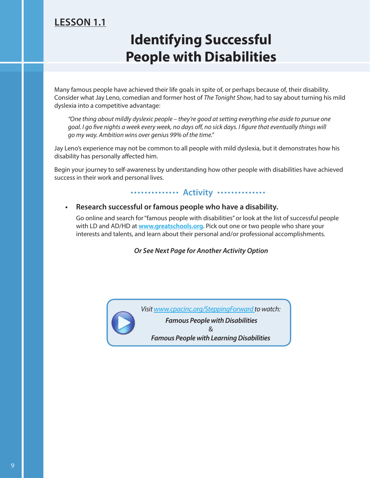### **LESSON 1.1**

## **Identifying Successful People with Disabilities**

Many famous people have achieved their life goals in spite of, or perhaps because of, their disability. Consider what Jay Leno, comedian and former host of *The Tonight Show*, had to say about turning his mild dyslexia into a competitive advantage:

*"One thing about mildly dyslexic people – they're good at setting everything else aside to pursue one goal. I go five nights a week every week, no days off, no sick days. I figure that eventually things will go my way. Ambition wins over genius 99% of the time."* 

Jay Leno's experience may not be common to all people with mild dyslexia, but it demonstrates how his disability has personally affected him.

Begin your journey to self-awareness by understanding how other people with disabilities have achieved success in their work and personal lives.

#### **Activity** ..............

#### **• Research successful or famous people who have a disability.**

Go online and search for "famous people with disabilities" or look at the list of successful people with LD and AD/HD at **www.greatschools.org**. Pick out one or two people who share your interests and talents, and learn about their personal and/or professional accomplishments.

*Or See Next Page for Another Activity Option*

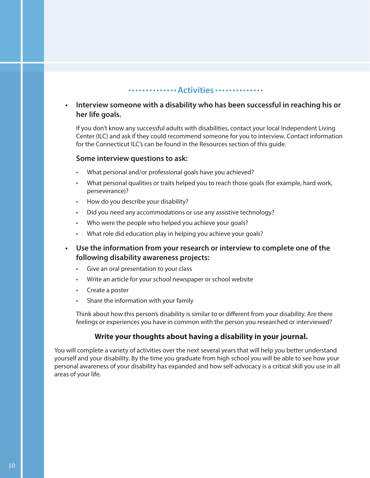#### **Activities**

#### **• Interview someone with a disability who has been successful in reaching his or her life goals.**

If you don't know any successful adults with disabilities, contact your local Independent Living Center (ILC) and ask if they could recommend someone for you to interview. Contact information for the Connecticut ILC's can be found in the Resources section of this guide.

#### **Some interview questions to ask:**

- What personal and/or professional goals have you achieved?
- What personal qualities or traits helped you to reach those goals (for example, hard work, perseverance)?
- How do you describe your disability?
- Did you need any accommodations or use any assistive technology?
- Who were the people who helped you achieve your goals?
- What role did education play in helping you achieve your goals?
- **Use the information from your research or interview to complete one of the following disability awareness projects:**
	- Give an oral presentation to your class
	- Write an article for your school newspaper or school website
	- Create a poster
	- Share the information with your family

Think about how this person's disability is similar to or different from your disability. Are there feelings or experiences you have in common with the person you researched or interviewed?

#### **Write your thoughts about having a disability in your journal.**

You will complete a variety of activities over the next several years that will help you better understand yourself and your disability. By the time you graduate from high school you will be able to see how your personal awareness of your disability has expanded and how self-advocacy is a critical skill you use in all areas of your life.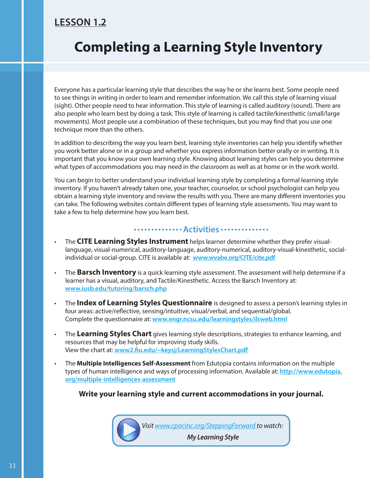### **LESSON 1.2**

## **Completing a Learning Style Inventory**

Everyone has a particular learning style that describes the way he or she learns best. Some people need to see things in writing in order to learn and remember information. We call this style of learning visual (sight). Other people need to hear information. This style of learning is called auditory (sound). There are also people who learn best by doing a task. This style of learning is called tactile/kinesthetic (small/large movements). Most people use a combination of these techniques, but you may find that you use one technique more than the others.

In addition to describing the way you learn best, learning style inventories can help you identify whether you work better alone or in a group and whether you express information better orally or in writing. It is important that you know your own learning style. Knowing about learning styles can help you determine what types of accommodations you may need in the classroom as well as at home or in the work world.

You can begin to better understand your individual learning style by completing a formal learning style inventory. If you haven't already taken one, your teacher, counselor, or school psychologist can help you obtain a learning style inventory and review the results with you. There are many different inventories you can take. The following websites contain different types of learning style assessments. You may want to take a few to help determine how you learn best.

#### **Activities Activities**

- The **CITE Learning Styles Instrument** helps learner determine whether they prefer visuallanguage, visual-numerical, auditory-language, auditory-numerical, auditory-visual-kinesthetic, socialindividual or social-group. CITE is available at: **www.wvabe.org/CITE/cite.pdf**
- The **Barsch Inventory** is a quick learning style assessment. The assessment will help determine if a learner has a visual, auditory, and Tactile/Kinesthetic. Access the Barsch Inventory at: **www.iusb.edu/tutoring/barsch.php**
- The **Index of Learning Styles Questionnaire** is designed to assess a person's learning styles in four areas: active/reflective, sensing/intuitive, visual/verbal, and sequential/global. Complete the questionnaire at: **www.engr.ncsu.edu/learningstyles/ilsweb.html**
- The **Learning Styles Chart** gives learning style descriptions, strategies to enhance learning, and resources that may be helpful for improving study skills. View the chart at: www2.fiu.edu/~keysj/LearningStylesChart.pdf
- The **Multiple Intelligences Self-Assessment** from Edutopia contains information on the multiple types of human intelligence and ways of processing information. Available at: **http://www.edutopia. org/multiple-intelligences-assessment**

**Write your learning style and current accommodations in your journal.**

*Visit www.cpacinc.org/SteppingForward to watch:*

 *My Learning Style*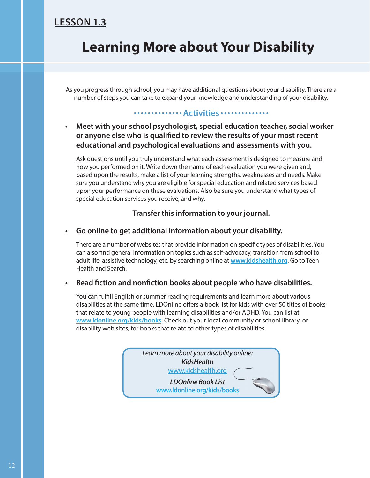### **LESSON 1.3**

## **Learning More about Your Disability**

As you progress through school, you may have additional questions about your disability. There are a number of steps you can take to expand your knowledge and understanding of your disability.

#### **Activities**

#### **• Meet with your school psychologist, special education teacher, social worker**  or anyone else who is qualified to review the results of your most recent **educational and psychological evaluations and assessments with you.**

Ask questions until you truly understand what each assessment is designed to measure and how you performed on it. Write down the name of each evaluation you were given and, based upon the results, make a list of your learning strengths, weaknesses and needs. Make sure you understand why you are eligible for special education and related services based upon your performance on these evaluations. Also be sure you understand what types of special education services you receive, and why.

#### **Transfer this information to your journal.**

#### **• Go online to get additional information about your disability.**

There are a number of websites that provide information on specific types of disabilities. You can also find general information on topics such as self-advocacy, transition from school to adult life, assistive technology, etc. by searching online at **www.kidshealth.org**. Go to Teen Health and Search.

#### **•** Read fiction and nonfiction books about people who have disabilities.

You can fulfill English or summer reading requirements and learn more about various disabilities at the same time. LDOnline offers a book list for kids with over 50 titles of books that relate to young people with learning disabilities and/or ADHD. You can list at **www.ldonline.org/kids/books**. Check out your local community or school library, or disability web sites, for books that relate to other types of disabilities.

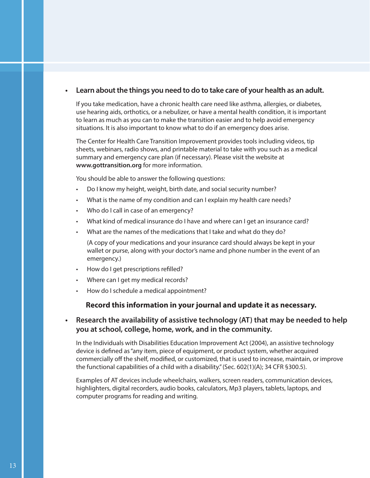#### **• Learn about the things you need to do to take care of your health as an adult.**

If you take medication, have a chronic health care need like asthma, allergies, or diabetes, use hearing aids, orthotics, or a nebulizer, or have a mental health condition, it is important to learn as much as you can to make the transition easier and to help avoid emergency situations. It is also important to know what to do if an emergency does arise.

The Center for Health Care Transition Improvement provides tools including videos, tip sheets, webinars, radio shows, and printable material to take with you such as a medical summary and emergency care plan (if necessary). Please visit the website at **www.gottransition.org** for more information.

You should be able to answer the following questions:

- Do I know my height, weight, birth date, and social security number?
- What is the name of my condition and can I explain my health care needs?
- Who do I call in case of an emergency?
- What kind of medical insurance do I have and where can I get an insurance card?
- What are the names of the medications that I take and what do they do?

(A copy of your medications and your insurance card should always be kept in your wallet or purse, along with your doctor's name and phone number in the event of an emergency.)

- How do I get prescriptions refilled?
- Where can I get my medical records?
- How do I schedule a medical appointment?

#### **Record this information in your journal and update it as necessary.**

#### **• Research the availability of assistive technology (AT) that may be needed to help you at school, college, home, work, and in the community.**

In the Individuals with Disabilities Education Improvement Act (2004), an assistive technology device is defined as "any item, piece of equipment, or product system, whether acquired commercially off the shelf, modified, or customized, that is used to increase, maintain, or improve the functional capabilities of a child with a disability." (Sec. 602(1)(A); 34 CFR §300.5).

Examples of AT devices include wheelchairs, walkers, screen readers, communication devices, highlighters, digital recorders, audio books, calculators, Mp3 players, tablets, laptops, and computer programs for reading and writing.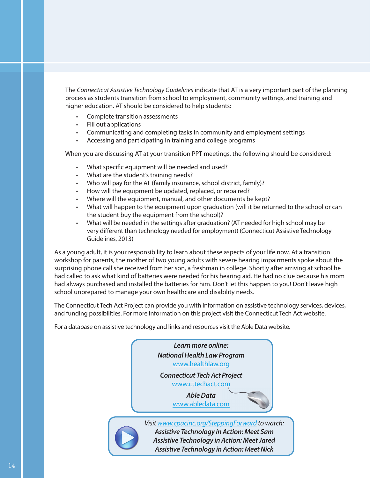The *Connecticut Assistive Technology Guidelines* indicate that AT is a very important part of the planning process as students transition from school to employment, community settings, and training and higher education. AT should be considered to help students:

- Complete transition assessments
- Fill out applications
- Communicating and completing tasks in community and employment settings
- Accessing and participating in training and college programs

When you are discussing AT at your transition PPT meetings, the following should be considered:

- What specific equipment will be needed and used?
- What are the student's training needs?
- Who will pay for the AT (family insurance, school district, family)?
- How will the equipment be updated, replaced, or repaired?
- Where will the equipment, manual, and other documents be kept?
- What will happen to the equipment upon graduation (will it be returned to the school or can the student buy the equipment from the school)?
- What will be needed in the settings after graduation? (AT needed for high school may be very different than technology needed for employment) (Connecticut Assistive Technology Guidelines, 2013)

As a young adult, it is your responsibility to learn about these aspects of your life now. At a transition workshop for parents, the mother of two young adults with severe hearing impairments spoke about the surprising phone call she received from her son, a freshman in college. Shortly after arriving at school he had called to ask what kind of batteries were needed for his hearing aid. He had no clue because his mom had always purchased and installed the batteries for him. Don't let this happen to you! Don't leave high school unprepared to manage your own healthcare and disability needs.

The Connecticut Tech Act Project can provide you with information on assistive technology services, devices, and funding possibilities. For more information on this project visit the Connecticut Tech Act website.

For a database on assistive technology and links and resources visit the Able Data website.

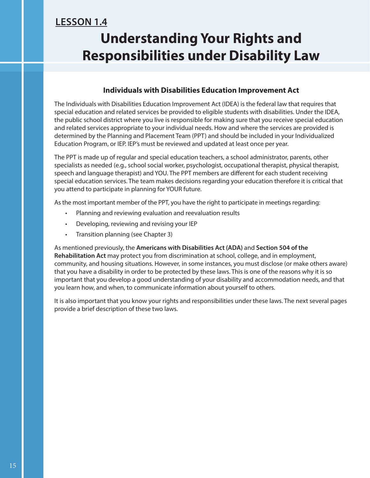### **LESSON 1.4**

## **Understanding Your Rights and Responsibilities under Disability Law**

#### **Individuals with Disabilities Education Improvement Act**

The Individuals with Disabilities Education Improvement Act (IDEA) is the federal law that requires that special education and related services be provided to eligible students with disabilities. Under the IDEA, the public school district where you live is responsible for making sure that you receive special education and related services appropriate to your individual needs. How and where the services are provided is determined by the Planning and Placement Team (PPT) and should be included in your Individualized Education Program, or IEP. IEP's must be reviewed and updated at least once per year.

The PPT is made up of regular and special education teachers, a school administrator, parents, other specialists as needed (e.g., school social worker, psychologist, occupational therapist, physical therapist, speech and language therapist) and YOU. The PPT members are different for each student receiving special education services. The team makes decisions regarding your education therefore it is critical that you attend to participate in planning for YOUR future.

As the most important member of the PPT, you have the right to participate in meetings regarding:

- Planning and reviewing evaluation and reevaluation results
- Developing, reviewing and revising your IEP
- Transition planning (see Chapter 3)

As mentioned previously, the **Americans with Disabilities Act (ADA)** and **Section 504 of the Rehabilitation Act** may protect you from discrimination at school, college, and in employment, community, and housing situations. However, in some instances, you must disclose (or make others aware) that you have a disability in order to be protected by these laws. This is one of the reasons why it is so important that you develop a good understanding of your disability and accommodation needs, and that you learn how, and when, to communicate information about yourself to others.

It is also important that you know your rights and responsibilities under these laws. The next several pages provide a brief description of these two laws.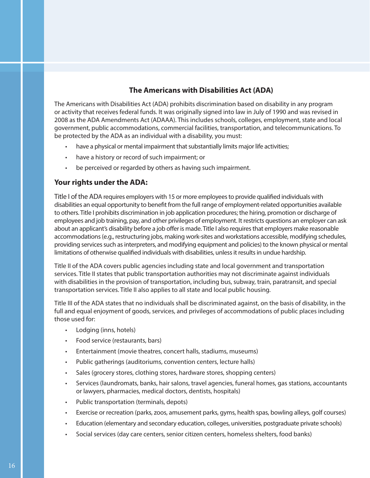#### **The Americans with Disabilities Act (ADA)**

The Americans with Disabilities Act (ADA) prohibits discrimination based on disability in any program or activity that receives federal funds. It was originally signed into law in July of 1990 and was revised in 2008 as the ADA Amendments Act (ADAAA). This includes schools, colleges, employment, state and local government, public accommodations, commercial facilities, transportation, and telecommunications. To be protected by the ADA as an individual with a disability, you must:

- have a physical or mental impairment that substantially limits major life activities;
- have a history or record of such impairment; or
- be perceived or regarded by others as having such impairment.

#### **Your rights under the ADA:**

Title I of the ADA requires employers with 15 or more employees to provide qualified individuals with disabilities an equal opportunity to benefit from the full range of employment-related opportunities available to others. Title I prohibits discrimination in job application procedures; the hiring, promotion or discharge of employees and job training, pay, and other privileges of employment. It restricts questions an employer can ask about an applicant's disability before a job offer is made. Title I also requires that employers make reasonable accommodations (e.g., restructuring jobs, making work-sites and workstations accessible, modifying schedules, providing services such as interpreters, and modifying equipment and policies) to the known physical or mental limitations of otherwise qualified individuals with disabilities, unless it results in undue hardship.

Title II of the ADA covers public agencies including state and local government and transportation services. Title II states that public transportation authorities may not discriminate against individuals with disabilities in the provision of transportation, including bus, subway, train, paratransit, and special transportation services. Title II also applies to all state and local public housing.

Title III of the ADA states that no individuals shall be discriminated against, on the basis of disability, in the full and equal enjoyment of goods, services, and privileges of accommodations of public places including those used for:

- Lodging (inns, hotels)
- Food service (restaurants, bars)
- Entertainment (movie theatres, concert halls, stadiums, museums)
- Public gatherings (auditoriums, convention centers, lecture halls)
- Sales (grocery stores, clothing stores, hardware stores, shopping centers)
- Services (laundromats, banks, hair salons, travel agencies, funeral homes, gas stations, accountants or lawyers, pharmacies, medical doctors, dentists, hospitals)
- Public transportation (terminals, depots)
- Exercise or recreation (parks, zoos, amusement parks, gyms, health spas, bowling alleys, golf courses)
- Education (elementary and secondary education, colleges, universities, postgraduate private schools)
- Social services (day care centers, senior citizen centers, homeless shelters, food banks)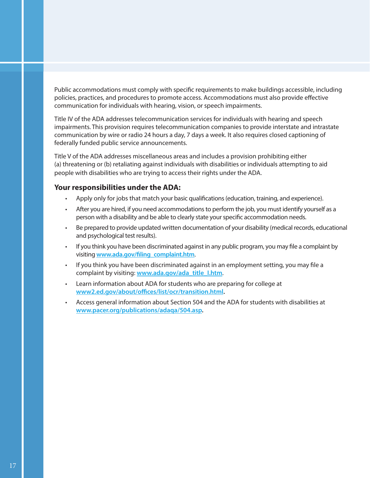Public accommodations must comply with specific requirements to make buildings accessible, including policies, practices, and procedures to promote access. Accommodations must also provide effective communication for individuals with hearing, vision, or speech impairments.

Title IV of the ADA addresses telecommunication services for individuals with hearing and speech impairments. This provision requires telecommunication companies to provide interstate and intrastate communication by wire or radio 24 hours a day, 7 days a week. It also requires closed captioning of federally funded public service announcements.

Title V of the ADA addresses miscellaneous areas and includes a provision prohibiting either (a) threatening or (b) retaliating against individuals with disabilities or individuals attempting to aid people with disabilities who are trying to access their rights under the ADA.

#### **Your responsibilities under the ADA:**

- Apply only for jobs that match your basic qualifications (education, training, and experience).
- After you are hired, if you need accommodations to perform the job, you must identify yourself as a person with a disability and be able to clearly state your specific accommodation needs.
- Be prepared to provide updated written documentation of your disability (medical records, educational and psychological test results).
- If you think you have been discriminated against in any public program, you may file a complaint by visiting www.ada.gov/filing\_complaint.htm.
- If you think you have been discriminated against in an employment setting, you may file a complaint by visiting: **www.ada.gov/ada\_title\_I.htm**.
- Learn information about ADA for students who are preparing for college at www2.ed.gov/about/offices/list/ocr/transition.html.
- Access general information about Section 504 and the ADA for students with disabilities at **www.pacer.org/publications/adaqa/504.asp.**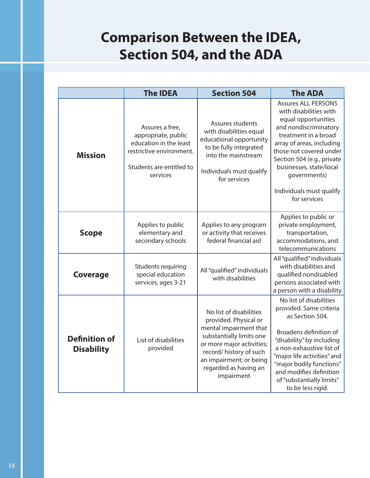## **Comparison Between the IDEA, Section 504, and the ADA**

|                                           | <b>The IDEA</b>                                                                                                                      | <b>Section 504</b>                                                                                                                                                                                                               | <b>The ADA</b>                                                                                                                                                                                                                                                                                            |
|-------------------------------------------|--------------------------------------------------------------------------------------------------------------------------------------|----------------------------------------------------------------------------------------------------------------------------------------------------------------------------------------------------------------------------------|-----------------------------------------------------------------------------------------------------------------------------------------------------------------------------------------------------------------------------------------------------------------------------------------------------------|
| <b>Mission</b>                            | Assures a free,<br>appropriate, public<br>education in the least<br>restrictive environment.<br>Students are entitled to<br>services | Assures students<br>with disabilities equal<br>educational opportunity<br>to be fully integrated<br>into the mainstream<br>Individuals must qualify<br>for services                                                              | <b>Assures ALL PERSONS</b><br>with disabilities with<br>equal opportunities<br>and nondiscriminatory<br>treatment in a broad<br>array of areas, including<br>those not covered under<br>Section 504 (e.g., private<br>businesses, state/local<br>governments)<br>Individuals must qualify<br>for services |
| <b>Scope</b>                              | Applies to public<br>elementary and<br>secondary schools                                                                             | Applies to any program<br>or activity that receives<br>federal financial aid                                                                                                                                                     | Applies to public or<br>private employment,<br>transportation,<br>accommodations, and<br>telecommunications                                                                                                                                                                                               |
| <b>Coverage</b>                           | Students requiring<br>special education<br>services, ages 3-21                                                                       | All "qualified" individuals<br>with disabilities                                                                                                                                                                                 | All "qualified" individuals<br>with disabilities and<br>qualified nondisabled<br>persons associated with<br>a person with a disability                                                                                                                                                                    |
| <b>Definition of</b><br><b>Disability</b> | List of disabilities<br>provided                                                                                                     | No list of disabilities<br>provided. Physical or<br>mental impairment that<br>substantially limits one<br>or more major activities;<br>record/ history of such<br>an impairment; or being<br>regarded as having an<br>impairment | No list of disabilities<br>provided. Same criteria<br>as Section 504.<br>Broadens definition of<br>"disability" by including<br>a non-exhaustive list of<br>"major life activities" and<br>"major bodily functions"<br>and modifies definition<br>of "substantially limits"<br>to be less rigid.          |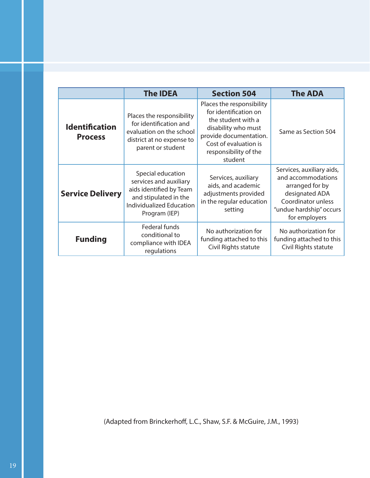|                                         | <b>The IDEA</b>                                                                                                                              | <b>Section 504</b>                                                                                                                                                                     | <b>The ADA</b>                                                                                                                                         |
|-----------------------------------------|----------------------------------------------------------------------------------------------------------------------------------------------|----------------------------------------------------------------------------------------------------------------------------------------------------------------------------------------|--------------------------------------------------------------------------------------------------------------------------------------------------------|
| <b>Identification</b><br><b>Process</b> | Places the responsibility<br>for identification and<br>evaluation on the school<br>district at no expense to<br>parent or student            | Places the responsibility<br>for identification on<br>the student with a<br>disability who must<br>provide documentation.<br>Cost of evaluation is<br>responsibility of the<br>student | Same as Section 504                                                                                                                                    |
| <b>Service Delivery</b>                 | Special education<br>services and auxiliary<br>aids identified by Team<br>and stipulated in the<br>Individualized Education<br>Program (IEP) | Services, auxiliary<br>aids, and academic<br>adjustments provided<br>in the regular education<br>setting                                                                               | Services, auxiliary aids,<br>and accommodations<br>arranged for by<br>designated ADA<br>Coordinator unless<br>"undue hardship" occurs<br>for employers |
| <b>Funding</b>                          | Federal funds<br>conditional to<br>compliance with IDEA<br>regulations                                                                       | No authorization for<br>funding attached to this<br>Civil Rights statute                                                                                                               | No authorization for<br>funding attached to this<br>Civil Rights statute                                                                               |

(Adapted from Brinckerhoff, L.C., Shaw, S.F. & McGuire, J.M., 1993)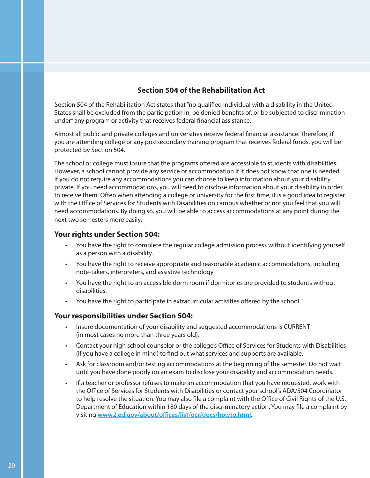#### **Section 504 of the Rehabilitation Act**

Section 504 of the Rehabilitation Act states that "no qualified individual with a disability in the United States shall be excluded from the participation in, be denied benefits of, or be subjected to discrimination under" any program or activity that receives federal financial assistance.

Almost all public and private colleges and universities receive federal financial assistance. Therefore, if you are attending college or any postsecondary training program that receives federal funds, you will be protected by Section 504.

The school or college must insure that the programs offered are accessible to students with disabilities. However, a school cannot provide any service or accommodation if it does not know that one is needed. If you do not require any accommodations you can choose to keep information about your disability private. If you need accommodations, you will need to disclose information about your disability in order to receive them. Often when attending a college or university for the first time, it is a good idea to register with the Office of Services for Students with Disabilities on campus whether or not you feel that you will need accommodations. By doing so, you will be able to access accommodations at any point during the next two semesters more easily.

#### **Your rights under Section 504:**

- You have the right to complete the regular college admission process without identifying yourself as a person with a disability.
- You have the right to receive appropriate and reasonable academic accommodations, including note-takers, interpreters, and assistive technology.
- You have the right to an accessible dorm room if dormitories are provided to students without disabilities.
- You have the right to participate in extracurricular activities offered by the school.

#### **Your responsibilities under Section 504:**

- Insure documentation of your disability and suggested accommodations is CURRENT (in most cases no more than three years old).
- Contact your high school counselor or the college's Office of Services for Students with Disabilities (if you have a college in mind) to find out what services and supports are available.
- Ask for classroom and/or testing accommodations at the beginning of the semester. Do not wait until you have done poorly on an exam to disclose your disability and accommodation needs.
- If a teacher or professor refuses to make an accommodation that you have requested, work with the Office of Services for Students with Disabilities or contact your school's ADA/504 Coordinator to help resolve the situation. You may also file a complaint with the Office of Civil Rights of the U.S. Department of Education within 180 days of the discriminatory action. You may file a complaint by visiting www2.ed.gov/about/offices/list/ocr/docs/howto.html.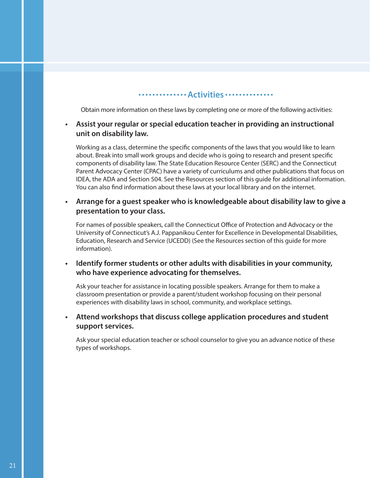#### **Activities**

Obtain more information on these laws by completing one or more of the following activities:

#### **• Assist your regular or special education teacher in providing an instructional unit on disability law.**

Working as a class, determine the specific components of the laws that you would like to learn about. Break into small work groups and decide who is going to research and present specific components of disability law. The State Education Resource Center (SERC) and the Connecticut Parent Advocacy Center (CPAC) have a variety of curriculums and other publications that focus on IDEA, the ADA and Section 504. See the Resources section of this guide for additional information. You can also find information about these laws at your local library and on the internet.

#### **• Arrange for a guest speaker who is knowledgeable about disability law to give a presentation to your class.**

For names of possible speakers, call the Connecticut Office of Protection and Advocacy or the University of Connecticut's A.J. Pappanikou Center for Excellence in Developmental Disabilities, Education, Research and Service (UCEDD) (See the Resources section of this guide for more information).

#### **• Identify former students or other adults with disabilities in your community, who have experience advocating for themselves.**

Ask your teacher for assistance in locating possible speakers. Arrange for them to make a classroom presentation or provide a parent/student workshop focusing on their personal experiences with disability laws in school, community, and workplace settings.

#### **• Attend workshops that discuss college application procedures and student support services.**

Ask your special education teacher or school counselor to give you an advance notice of these types of workshops.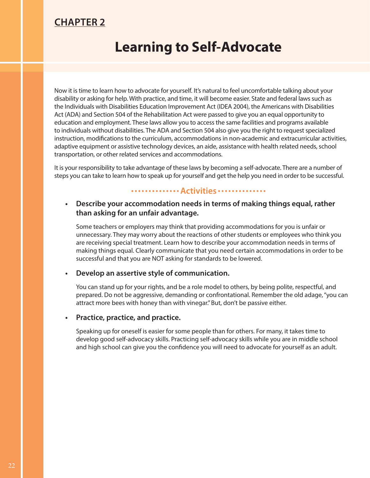### **CHAPTER 2**

### **Learning to Self-Advocate**

Now it is time to learn how to advocate for yourself. It's natural to feel uncomfortable talking about your disability or asking for help. With practice, and time, it will become easier. State and federal laws such as the Individuals with Disabilities Education Improvement Act (IDEA 2004), the Americans with Disabilities Act (ADA) and Section 504 of the Rehabilitation Act were passed to give you an equal opportunity to education and employment. These laws allow you to access the same facilities and programs available to individuals without disabilities. The ADA and Section 504 also give you the right to request specialized instruction, modifications to the curriculum, accommodations in non-academic and extracurricular activities, adaptive equipment or assistive technology devices, an aide, assistance with health related needs, school transportation, or other related services and accommodations.

It is your responsibility to take advantage of these laws by becoming a self-advocate. There are a number of steps you can take to learn how to speak up for yourself and get the help you need in order to be successful.

#### **Activities Activities**

#### **• Describe your accommodation needs in terms of making things equal, rather than asking for an unfair advantage.**

Some teachers or employers may think that providing accommodations for you is unfair or unnecessary. They may worry about the reactions of other students or employees who think you are receiving special treatment. Learn how to describe your accommodation needs in terms of making things equal. Clearly communicate that you need certain accommodations in order to be successful and that you are NOT asking for standards to be lowered.

#### **• Develop an assertive style of communication.**

You can stand up for your rights, and be a role model to others, by being polite, respectful, and prepared. Do not be aggressive, demanding or confrontational. Remember the old adage, "you can attract more bees with honey than with vinegar." But, don't be passive either.

#### **• Practice, practice, and practice.**

Speaking up for oneself is easier for some people than for others. For many, it takes time to develop good self-advocacy skills. Practicing self-advocacy skills while you are in middle school and high school can give you the confidence you will need to advocate for yourself as an adult.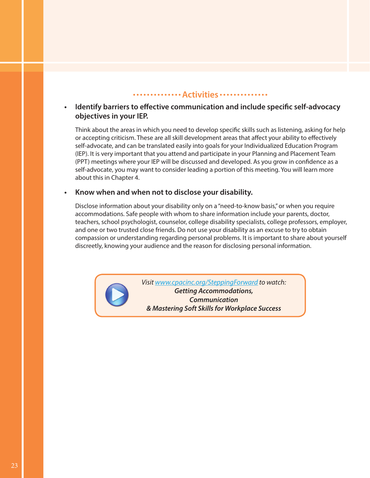#### **Activities** .............

#### **Identify barriers to effective communication and include specific self-advocacy objectives in your IEP.**

Think about the areas in which you need to develop specific skills such as listening, asking for help or accepting criticism. These are all skill development areas that affect your ability to effectively self-advocate, and can be translated easily into goals for your Individualized Education Program (IEP). It is very important that you attend and participate in your Planning and Placement Team (PPT) meetings where your IEP will be discussed and developed. As you grow in confidence as a self-advocate, you may want to consider leading a portion of this meeting. You will learn more about this in Chapter 4.

#### **• Know when and when not to disclose your disability.**

Disclose information about your disability only on a "need-to-know basis," or when you require accommodations. Safe people with whom to share information include your parents, doctor, teachers, school psychologist, counselor, college disability specialists, college professors, employer, and one or two trusted close friends. Do not use your disability as an excuse to try to obtain compassion or understanding regarding personal problems. It is important to share about yourself discreetly, knowing your audience and the reason for disclosing personal information.



*Visit www.cpacinc.org/SteppingForward to watch: Getting Accommodations, Communication & Mastering Soft Skills for Workplace Success*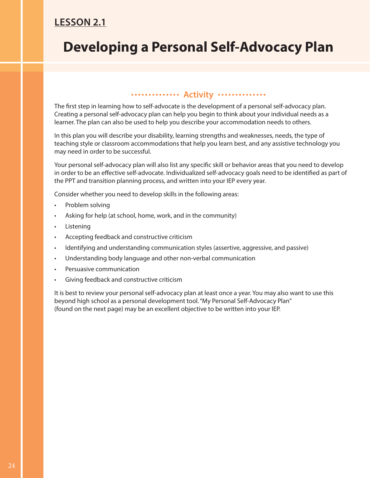### **LESSON 2.1**

## **Developing a Personal Self-Advocacy Plan**

#### **Activity .............**

The first step in learning how to self-advocate is the development of a personal self-advocacy plan. Creating a personal self-advocacy plan can help you begin to think about your individual needs as a learner. The plan can also be used to help you describe your accommodation needs to others.

In this plan you will describe your disability, learning strengths and weaknesses, needs, the type of teaching style or classroom accommodations that help you learn best, and any assistive technology you may need in order to be successful.

Your personal self-advocacy plan will also list any specific skill or behavior areas that you need to develop in order to be an effective self-advocate. Individualized self-advocacy goals need to be identified as part of the PPT and transition planning process, and written into your IEP every year.

Consider whether you need to develop skills in the following areas:

- Problem solving
- Asking for help (at school, home, work, and in the community)
- **Listening**
- Accepting feedback and constructive criticism
- Identifying and understanding communication styles (assertive, aggressive, and passive)
- Understanding body language and other non-verbal communication
- Persuasive communication
- Giving feedback and constructive criticism

It is best to review your personal self-advocacy plan at least once a year. You may also want to use this beyond high school as a personal development tool. "My Personal Self-Advocacy Plan" (found on the next page) may be an excellent objective to be written into your IEP.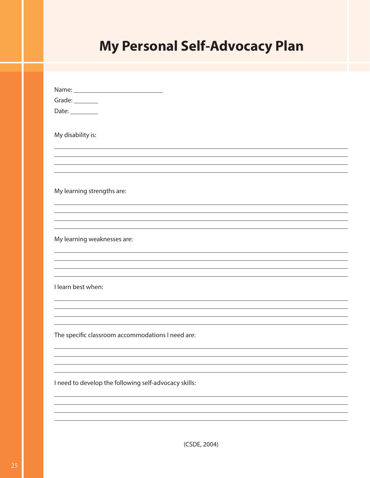# **My Personal Self-Advocacy Plan**

| Grade: $\_\_$                                         |
|-------------------------------------------------------|
| Date: $\_\_$                                          |
|                                                       |
| My disability is:                                     |
|                                                       |
|                                                       |
|                                                       |
|                                                       |
|                                                       |
| My learning strengths are:                            |
|                                                       |
|                                                       |
|                                                       |
|                                                       |
|                                                       |
| My learning weaknesses are:                           |
|                                                       |
|                                                       |
|                                                       |
|                                                       |
| I learn best when:                                    |
|                                                       |
|                                                       |
|                                                       |
|                                                       |
| The specific classroom accommodations I need are:     |
|                                                       |
|                                                       |
|                                                       |
|                                                       |
| I need to develop the following self-advocacy skills: |
|                                                       |
|                                                       |
|                                                       |
|                                                       |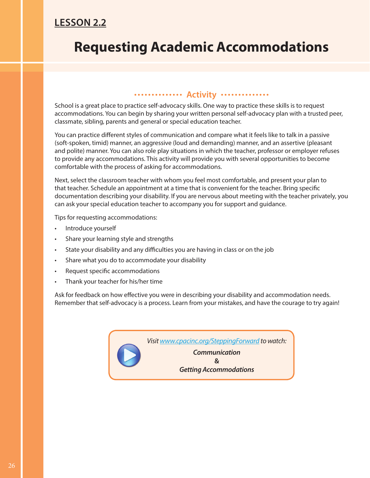### **LESSON 2.2**

## **Requesting Academic Accommodations**

#### **Activity** .............

School is a great place to practice self-advocacy skills. One way to practice these skills is to request accommodations. You can begin by sharing your written personal self-advocacy plan with a trusted peer, classmate, sibling, parents and general or special education teacher.

You can practice different styles of communication and compare what it feels like to talk in a passive (soft-spoken, timid) manner, an aggressive (loud and demanding) manner, and an assertive (pleasant and polite) manner. You can also role play situations in which the teacher, professor or employer refuses to provide any accommodations. This activity will provide you with several opportunities to become comfortable with the process of asking for accommodations.

Next, select the classroom teacher with whom you feel most comfortable, and present your plan to that teacher. Schedule an appointment at a time that is convenient for the teacher. Bring specific documentation describing your disability. If you are nervous about meeting with the teacher privately, you can ask your special education teacher to accompany you for support and guidance.

Tips for requesting accommodations:

- Introduce yourself
- Share your learning style and strengths
- State your disability and any difficulties you are having in class or on the job
- Share what you do to accommodate your disability
- Request specific accommodations
- Thank your teacher for his/her time

Ask for feedback on how effective you were in describing your disability and accommodation needs. Remember that self-advocacy is a process. Learn from your mistakes, and have the courage to try again!

*Visit www.cpacinc.org/SteppingForward to watch:* 

*Communication*  **&** *Getting Accommodations*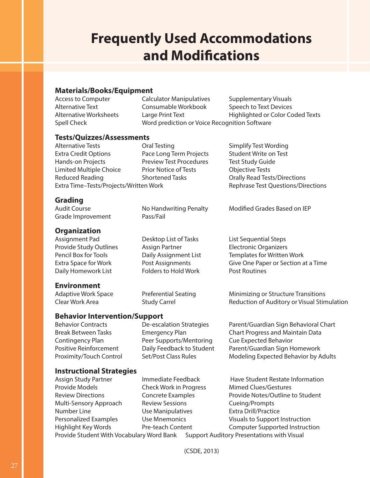## **Frequently Used Accommodations and Modifications**

#### **Materials/Books/Equipment**

| <b>Access to Computer</b> | <b>Calculator Manipulatives</b>               | Supplementary Visuals            |
|---------------------------|-----------------------------------------------|----------------------------------|
| Alternative Text          | Consumable Workbook                           | Speech to Text Devices           |
| Alternative Worksheets    | Large Print Text                              | Highlighted or Color Coded Texts |
| Spell Check               | Word prediction or Voice Recognition Software |                                  |
|                           |                                               |                                  |

#### **Tests/Quizzes/Assessments**

Alternative Tests **Call Testing** Coral Testing Simplify Test Wording Extra Credit Options Pace Long Term Projects Student Write on Test Hands-on Projects Preview Test Procedures Test Study Guide Limited Multiple Choice Prior Notice of Tests Objective Tests Reduced Reading Tasks **Shortened Tasks** Corally Read Tests/Directions Extra Time–Tests/Projects/Written Work Rephrase Test Questions/Directions

#### **Grading**

Audit Course **No Handwriting Penalty** Modified Grades Based on IEP Grade Improvement Pass/Fail

#### **Organization**

Assignment Pad **Desktop List of Tasks** List Sequential Steps Provide Study Outlines Assign Partner **Electronic Organizers** Daily Homework List Folders to Hold Work Post Routines

#### **Environment**

Adaptive Work Space Preferential Seating Minimizing or Structure Transitions

**Behavior Intervention/Support**

Contingency Plan Peer Supports/Mentoring Cue Expected Behavior

Pencil Box for Tools **Daily Assignment List** Templates for Written Work Extra Space for Work Post Assignments Give One Paper or Section at a Time

Clear Work Area **Study Carrel Clear Work Area** Study Carrel Reduction of Auditory or Visual Stimulation

Behavior Contracts De-escalation Strategies Parent/Guardian Sign Behavioral Chart Break Between Tasks Emergency Plan Chart Progress and Maintain Data Positive Reinforcement Daily Feedback to Student Parent/Guardian Sign Homework Proximity/Touch Control Set/Post Class Rules Modeling Expected Behavior by Adults

#### **Instructional Strategies**

Assign Study Partner **Immediate Feedback** Have Student Restate Information Provide Models Check Work in Progress Mimed Clues/Gestures Review Directions Concrete Examples Provide Notes/Outline to Student Multi-Sensory Approach Review Sessions Cueing/Prompts Number Line Use Manipulatives Extra Drill/Practice Personalized Examples Use Mnemonics Visuals to Support Instruction Highlight Key Words Pre-teach Content Computer Supported Instruction Provide Student With Vocabulary Word Bank Support Auditory Presentations with Visual

(CSDE, 2013)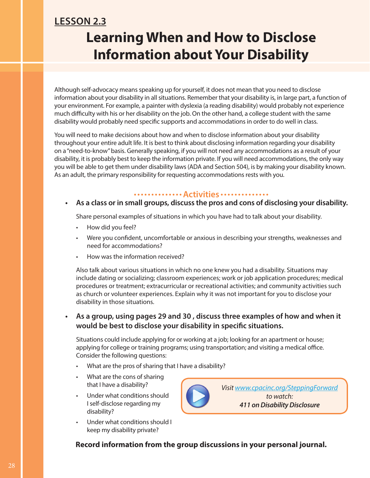## **Learning When and How to Disclose Information about Your Disability LESSON 2.3**

Although self-advocacy means speaking up for yourself, it does not mean that you need to disclose information about your disability in all situations. Remember that your disability is, in large part, a function of your environment. For example, a painter with dyslexia (a reading disability) would probably not experience much difficulty with his or her disability on the job. On the other hand, a college student with the same disability would probably need specific supports and accommodations in order to do well in class.

You will need to make decisions about how and when to disclose information about your disability throughout your entire adult life. It is best to think about disclosing information regarding your disability on a "need-to-know" basis. Generally speaking, if you will not need any accommodations as a result of your disability, it is probably best to keep the information private. If you will need accommodations, the only way you will be able to get them under disability laws (ADA and Section 504), is by making your disability known. As an adult, the primary responsibility for requesting accommodations rests with you.

#### **Activities**

### **• As a class or in small groups, discuss the pros and cons of disclosing your disability.**

Share personal examples of situations in which you have had to talk about your disability.

- How did you feel?
- Were you confident, uncomfortable or anxious in describing your strengths, weaknesses and need for accommodations?
- How was the information received?

Also talk about various situations in which no one knew you had a disability. Situations may include dating or socializing; classroom experiences; work or job application procedures; medical procedures or treatment; extracurricular or recreational activities; and community activities such as church or volunteer experiences. Explain why it was not important for you to disclose your disability in those situations.

#### **• As a group, using pages 29 and 30 , discuss three examples of how and when it** would be best to disclose your disability in specific situations.

Situations could include applying for or working at a job; looking for an apartment or house; applying for college or training programs; using transportation; and visiting a medical office. Consider the following questions:

- What are the pros of sharing that I have a disability?
- What are the cons of sharing that I have a disability?
- Under what conditions should I self-disclose regarding my disability?
- Under what conditions should I keep my disability private?



**Record information from the group discussions in your personal journal.**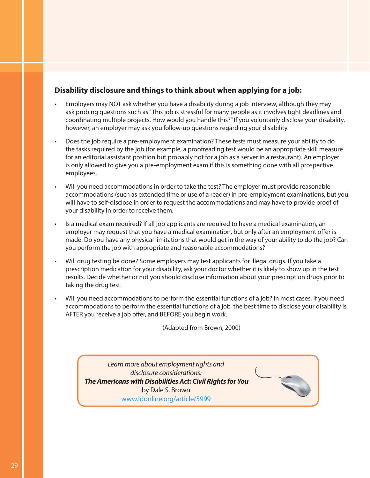#### **Disability disclosure and things to think about when applying for a job:**

- Employers may NOT ask whether you have a disability during a job interview, although they may ask probing questions such as "This job is stressful for many people as it involves tight deadlines and coordinating multiple projects. How would you handle this?" If you voluntarily disclose your disability, however, an employer may ask you follow-up questions regarding your disability.
- Does the job require a pre-employment examination? These tests must measure your ability to do the tasks required by the job (for example, a proofreading test would be an appropriate skill measure for an editorial assistant position but probably not for a job as a server in a restaurant). An employer is only allowed to give you a pre-employment exam if this is something done with all prospective employees.
- Will you need accommodations in order to take the test? The employer must provide reasonable accommodations (such as extended time or use of a reader) in pre-employment examinations, but you will have to self-disclose in order to request the accommodations and may have to provide proof of your disability in order to receive them.
- Is a medical exam required? If all job applicants are required to have a medical examination, an employer may request that you have a medical examination, but only after an employment offer is made. Do you have any physical limitations that would get in the way of your ability to do the job? Can you perform the job with appropriate and reasonable accommodations?
- Will drug testing be done? Some employers may test applicants for illegal drugs. If you take a prescription medication for your disability, ask your doctor whether it is likely to show up in the test results. Decide whether or not you should disclose information about your prescription drugs prior to taking the drug test.
- Will you need accommodations to perform the essential functions of a job? In most cases, if you need accommodations to perform the essential functions of a job, the best time to disclose your disability is AFTER you receive a job offer, and BEFORE you begin work.

(Adapted from Brown, 2000)

*Learn more about employment rights and disclosure considerations: The Americans with Disabilities Act: Civil Rights for You*  by Dale S. Brown www.ldonline.org/article/5999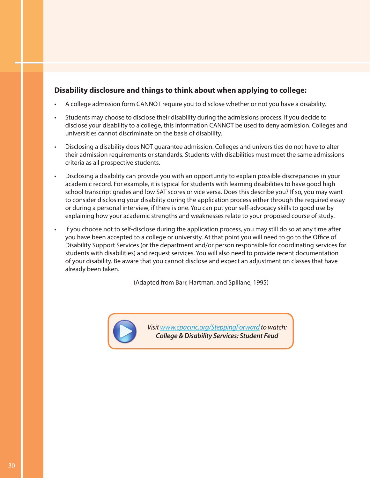#### **Disability disclosure and things to think about when applying to college:**

- A college admission form CANNOT require you to disclose whether or not you have a disability.
- Students may choose to disclose their disability during the admissions process. If you decide to disclose your disability to a college, this information CANNOT be used to deny admission. Colleges and universities cannot discriminate on the basis of disability.
- Disclosing a disability does NOT guarantee admission. Colleges and universities do not have to alter their admission requirements or standards. Students with disabilities must meet the same admissions criteria as all prospective students.
- Disclosing a disability can provide you with an opportunity to explain possible discrepancies in your academic record. For example, it is typical for students with learning disabilities to have good high school transcript grades and low SAT scores or vice versa. Does this describe you? If so, you may want to consider disclosing your disability during the application process either through the required essay or during a personal interview, if there is one. You can put your self-advocacy skills to good use by explaining how your academic strengths and weaknesses relate to your proposed course of study.
- If you choose not to self-disclose during the application process, you may still do so at any time after you have been accepted to a college or university. At that point you will need to go to the Office of Disability Support Services (or the department and/or person responsible for coordinating services for students with disabilities) and request services. You will also need to provide recent documentation of your disability. Be aware that you cannot disclose and expect an adjustment on classes that have already been taken.

(Adapted from Barr, Hartman, and Spillane, 1995)



*Visit www.cpacinc.org/SteppingForward to watch: College & Disability Services: Student Feud*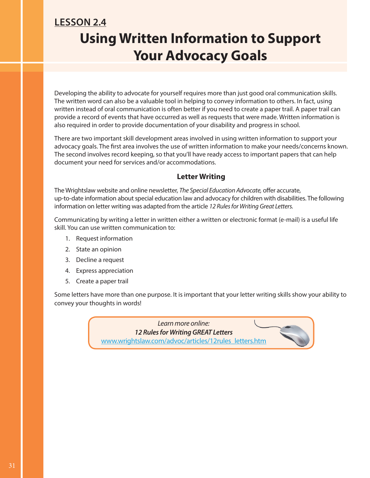### **Using Written Information to Support Your Advocacy Goals LESSON 2.4**

Developing the ability to advocate for yourself requires more than just good oral communication skills. The written word can also be a valuable tool in helping to convey information to others. In fact, using written instead of oral communication is often better if you need to create a paper trail. A paper trail can provide a record of events that have occurred as well as requests that were made. Written information is also required in order to provide documentation of your disability and progress in school.

There are two important skill development areas involved in using written information to support your advocacy goals. The first area involves the use of written information to make your needs/concerns known. The second involves record keeping, so that you'll have ready access to important papers that can help document your need for services and/or accommodations.

#### **Letter Writing**

The Wrightslaw website and online newsletter, *The Special Education Advocate*, offer accurate, up-to-date information about special education law and advocacy for children with disabilities. The following information on letter writing was adapted from the article *12 Rules for Writing Great Letters.*

Communicating by writing a letter in written either a written or electronic format (e-mail) is a useful life skill. You can use written communication to:

- 1. Request information
- 2. State an opinion
- 3. Decline a request
- 4. Express appreciation
- 5. Create a paper trail

Some letters have more than one purpose. It is important that your letter writing skills show your ability to convey your thoughts in words!

> *Learn more online: 12 Rules for Writing GREAT Letters* www.wrightslaw.com/advoc/articles/12rules\_letters.htm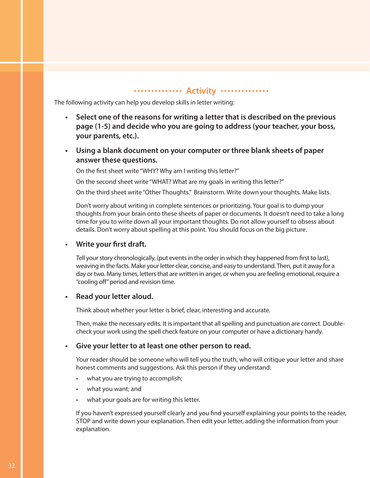#### **Activity** .............

The following activity can help you develop skills in letter writing:

- **• Select one of the reasons for writing a letter that is described on the previous page (1-5) and decide who you are going to address (your teacher, your boss, your parents, etc.).**
- **• Using a blank document on your computer or three blank sheets of paper answer these questions.**

On the first sheet write "WHY? Why am I writing this letter?"

On the second sheet write "WHAT? What are my goals in writing this letter?"

On the third sheet write "Other Thoughts." Brainstorm. Write down your thoughts. Make lists.

Don't worry about writing in complete sentences or prioritizing. Your goal is to dump your thoughts from your brain onto these sheets of paper or documents. It doesn't need to take a long time for you to write down all your important thoughts. Do not allow yourself to obsess about details. Don't worry about spelling at this point. You should focus on the big picture.

#### **• Write your first draft.**

Tell your story chronologically, (put events in the order in which they happened from first to last), weaving in the facts. Make your letter clear, concise, and easy to understand. Then, put it away for a day or two. Many times, letters that are written in anger, or when you are feeling emotional, require a " cooling off" period and revision time.

#### **• Read your letter aloud.**

Think about whether your letter is brief, clear, interesting and accurate.

Then, make the necessary edits. It is important that all spelling and punctuation are correct. Doublecheck your work using the spell check feature on your computer or have a dictionary handy.

#### **• Give your letter to at least one other person to read.**

Your reader should be someone who will tell you the truth, who will critique your letter and share honest comments and suggestions. Ask this person if they understand:

- what you are trying to accomplish;
- what you want; and
- what your goals are for writing this letter.

If you haven't expressed yourself clearly and you find yourself explaining your points to the reader, STOP and write down your explanation. Then edit your letter, adding the information from your explanation.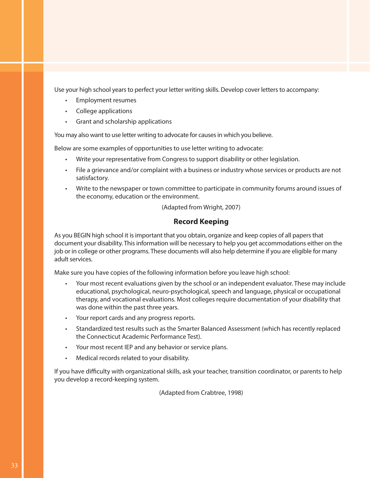Use your high school years to perfect your letter writing skills. Develop cover letters to accompany:

- Employment resumes
- College applications
- Grant and scholarship applications

You may also want to use letter writing to advocate for causes in which you believe.

Below are some examples of opportunities to use letter writing to advocate:

- Write your representative from Congress to support disability or other legislation.
- File a grievance and/or complaint with a business or industry whose services or products are not satisfactory.
- Write to the newspaper or town committee to participate in community forums around issues of the economy, education or the environment.

(Adapted from Wright, 2007)

#### **Record Keeping**

As you BEGIN high school it is important that you obtain, organize and keep copies of all papers that document your disability. This information will be necessary to help you get accommodations either on the job or in college or other programs. These documents will also help determine if you are eligible for many adult services.

Make sure you have copies of the following information before you leave high school:

- Your most recent evaluations given by the school or an independent evaluator. These may include educational, psychological, neuro-psychological, speech and language, physical or occupational therapy, and vocational evaluations. Most colleges require documentation of your disability that was done within the past three years.
- Your report cards and any progress reports.
- Standardized test results such as the Smarter Balanced Assessment (which has recently replaced the Connecticut Academic Performance Test).
- Your most recent IEP and any behavior or service plans.
- Medical records related to your disability.

If you have difficulty with organizational skills, ask your teacher, transition coordinator, or parents to help you develop a record-keeping system.

(Adapted from Crabtree, 1998)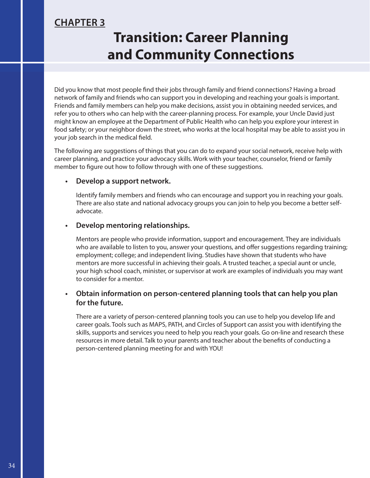### **CHAPTER 3**

## **Transition: Career Planning and Community Connections**

Did you know that most people find their jobs through family and friend connections? Having a broad network of family and friends who can support you in developing and reaching your goals is important. Friends and family members can help you make decisions, assist you in obtaining needed services, and refer you to others who can help with the career-planning process. For example, your Uncle David just might know an employee at the Department of Public Health who can help you explore your interest in food safety; or your neighbor down the street, who works at the local hospital may be able to assist you in your job search in the medical field.

The following are suggestions of things that you can do to expand your social network, receive help with career planning, and practice your advocacy skills. Work with your teacher, counselor, friend or family member to figure out how to follow through with one of these suggestions.

#### **• Develop a support network.**

Identify family members and friends who can encourage and support you in reaching your goals. There are also state and national advocacy groups you can join to help you become a better selfadvocate.

#### **• Develop mentoring relationships.**

Mentors are people who provide information, support and encouragement. They are individuals who are available to listen to you, answer your questions, and offer suggestions regarding training; employment; college; and independent living. Studies have shown that students who have mentors are more successful in achieving their goals. A trusted teacher, a special aunt or uncle, your high school coach, minister, or supervisor at work are examples of individuals you may want to consider for a mentor.

#### **• Obtain information on person-centered planning tools that can help you plan for the future.**

There are a variety of person-centered planning tools you can use to help you develop life and career goals. Tools such as MAPS, PATH, and Circles of Support can assist you with identifying the skills, supports and services you need to help you reach your goals. Go on-line and research these resources in more detail. Talk to your parents and teacher about the benefits of conducting a person-centered planning meeting for and with YOU!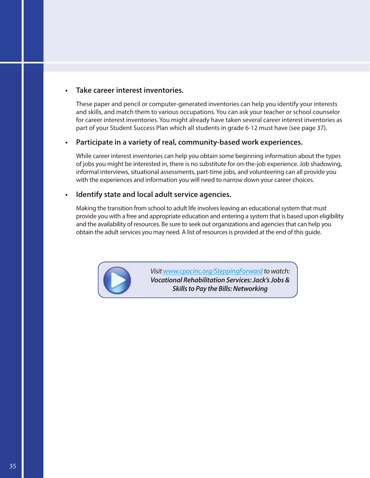#### **• Take career interest inventories.**

These paper and pencil or computer-generated inventories can help you identify your interests and skills, and match them to various occupations. You can ask your teacher or school counselor for career interest inventories. You might already have taken several career interest inventories as part of your Student Success Plan which all students in grade 6-12 must have (see page 37).

#### **• Participate in a variety of real, community-based work experiences.**

While career interest inventories can help you obtain some beginning information about the types of jobs you might be interested in, there is no substitute for on-the-job experience. Job shadowing, informal interviews, situational assessments, part-time jobs, and volunteering can all provide you with the experiences and information you will need to narrow down your career choices.

#### **• Identify state and local adult service agencies.**

Making the transition from school to adult life involves leaving an educational system that must provide you with a free and appropriate education and entering a system that is based upon eligibility and the availability of resources. Be sure to seek out organizations and agencies that can help you obtain the adult services you may need. A list of resources is provided at the end of this guide.



*Visit www.cpacinc.org/SteppingForward to watch: Vocational Rehabilitation Services: Jack's Jobs & Skills to Pay the Bills: Networking*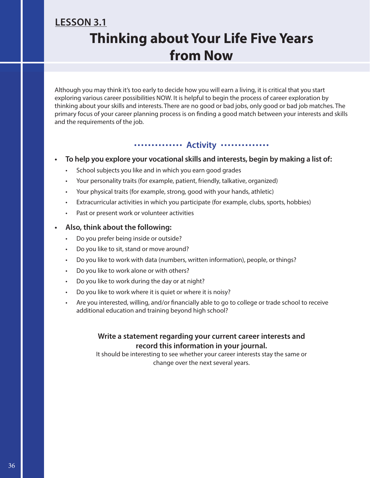### **LESSON 3.1 Thinking about Your Life Five Years from Now**

Although you may think it's too early to decide how you will earn a living, it is critical that you start exploring various career possibilities NOW. It is helpful to begin the process of career exploration by thinking about your skills and interests. There are no good or bad jobs, only good or bad job matches. The primary focus of your career planning process is on finding a good match between your interests and skills and the requirements of the job.

### **Activity .............**

#### **• To help you explore your vocational skills and interests, begin by making a list of:**

- School subjects you like and in which you earn good grades
- Your personality traits (for example, patient, friendly, talkative, organized)
- Your physical traits (for example, strong, good with your hands, athletic)
- Extracurricular activities in which you participate (for example, clubs, sports, hobbies)
- Past or present work or volunteer activities

#### **• Also, think about the following:**

- Do you prefer being inside or outside?
- Do you like to sit, stand or move around?
- Do you like to work with data (numbers, written information), people, or things?
- Do you like to work alone or with others?
- Do you like to work during the day or at night?
- Do you like to work where it is quiet or where it is noisy?
- Are you interested, willing, and/or financially able to go to college or trade school to receive additional education and training beyond high school?

#### **Write a statement regarding your current career interests and record this information in your journal.**

It should be interesting to see whether your career interests stay the same or change over the next several years.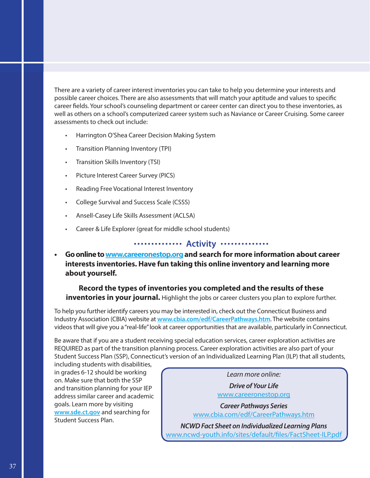There are a variety of career interest inventories you can take to help you determine your interests and possible career choices. There are also assessments that will match your aptitude and values to specific career fields. Your school's counseling department or career center can direct you to these inventories, as well as others on a school's computerized career system such as Naviance or Career Cruising. Some career assessments to check out include:

- Harrington O'Shea Career Decision Making System
- Transition Planning Inventory (TPI)
- Transition Skills Inventory (TSI)
- Picture Interest Career Survey (PICS)
- Reading Free Vocational Interest Inventory
- College Survival and Success Scale (CSSS)
- Ansell-Casey Life Skills Assessment (ACLSA)
- Career & Life Explorer (great for middle school students)

#### **Activity**

**• Go online to www.careeronestop.org and search for more information about career interests inventories. Have fun taking this online inventory and learning more about yourself.**

#### **Record the types of inventories you completed and the results of these inventories in your journal.** Highlight the jobs or career clusters you plan to explore further.

To help you further identify careers you may be interested in, check out the Connecticut Business and Industry Association (CBIA) website at **www.cbia.com/edf/CareerPathways.htm**. The website contains videos that will give you a "real-life" look at career opportunities that are available, particularly in Connecticut.

Be aware that if you are a student receiving special education services, career exploration activities are REQUIRED as part of the transition planning process. Career exploration activities are also part of your Student Success Plan (SSP), Connecticut's version of an Individualized Learning Plan (ILP) that all students,

including students with disabilities, in grades 6-12 should be working on. Make sure that both the SSP and transition planning for your IEP address similar career and academic goals. Learn more by visiting **www.sde.ct.gov** and searching for Student Success Plan.

*Learn more online: Drive of Your Life* www.careeronestop.org

*Career Pathways Series* www.cbia.com/edf/CareerPathways.htm

*NCWD Fact Sheet on Individualized Learning Plans* www.ncwd-youth.info/sites/default/files/FactSheet-ILP.pdf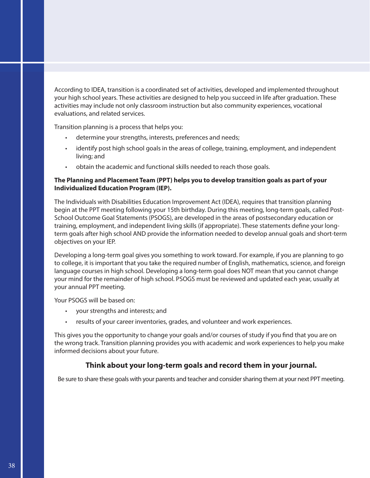According to IDEA, transition is a coordinated set of activities, developed and implemented throughout your high school years. These activities are designed to help you succeed in life after graduation. These activities may include not only classroom instruction but also community experiences, vocational evaluations, and related services.

Transition planning is a process that helps you:

- determine your strengths, interests, preferences and needs;
- identify post high school goals in the areas of college, training, employment, and independent living; and
- obtain the academic and functional skills needed to reach those goals.

#### **The Planning and Placement Team (PPT) helps you to develop transition goals as part of your Individualized Education Program (IEP).**

The Individuals with Disabilities Education Improvement Act (IDEA), requires that transition planning begin at the PPT meeting following your 15th birthday. During this meeting, long-term goals, called Post-School Outcome Goal Statements (PSOGS), are developed in the areas of postsecondary education or training, employment, and independent living skills (if appropriate). These statements define your longterm goals after high school AND provide the information needed to develop annual goals and short-term objectives on your IEP.

Developing a long-term goal gives you something to work toward. For example, if you are planning to go to college, it is important that you take the required number of English, mathematics, science, and foreign language courses in high school. Developing a long-term goal does NOT mean that you cannot change your mind for the remainder of high school. PSOGS must be reviewed and updated each year, usually at your annual PPT meeting.

Your PSOGS will be based on:

- your strengths and interests; and
- results of your career inventories, grades, and volunteer and work experiences.

This gives you the opportunity to change your goals and/or courses of study if you find that you are on the wrong track. Transition planning provides you with academic and work experiences to help you make informed decisions about your future.

#### **Think about your long-term goals and record them in your journal.**

Be sure to share these goals with your parents and teacher and consider sharing them at your next PPT meeting.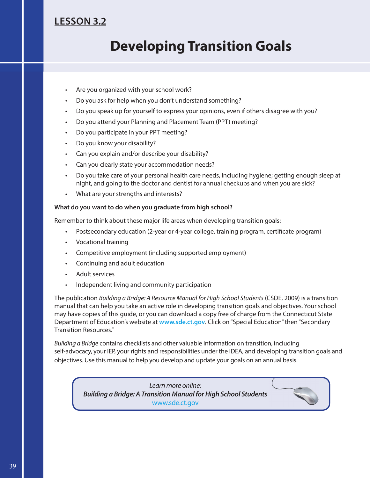### **LESSON 3.2**

## **Developing Transition Goals**

- Are you organized with your school work?
- Do you ask for help when you don't understand something?
- Do you speak up for yourself to express your opinions, even if others disagree with you?
- Do you attend your Planning and Placement Team (PPT) meeting?
- Do you participate in your PPT meeting?
- Do you know your disability?
- Can you explain and/or describe your disability?
- Can you clearly state your accommodation needs?
- Do you take care of your personal health care needs, including hygiene; getting enough sleep at night, and going to the doctor and dentist for annual checkups and when you are sick?
- What are your strengths and interests?

#### **What do you want to do when you graduate from high school?**

Remember to think about these major life areas when developing transition goals:

- Postsecondary education (2-year or 4-year college, training program, certificate program)
- Vocational training
- Competitive employment (including supported employment)
- Continuing and adult education
- Adult services
- Independent living and community participation

The publication *Building a Bridge: A Resource Manual for High School Students* (CSDE, 2009) is a transition manual that can help you take an active role in developing transition goals and objectives. Your school may have copies of this guide, or you can download a copy free of charge from the Connecticut State Department of Education's website at **www.sde.ct.gov**. Click on "Special Education" then "Secondary Transition Resources."

*Building a Bridge* contains checklists and other valuable information on transition, including self-advocacy, your IEP, your rights and responsibilities under the IDEA, and developing transition goals and objectives. Use this manual to help you develop and update your goals on an annual basis.

*Learn more online: Building a Bridge: A Transition Manual for High School Students* www.sde.ct.gov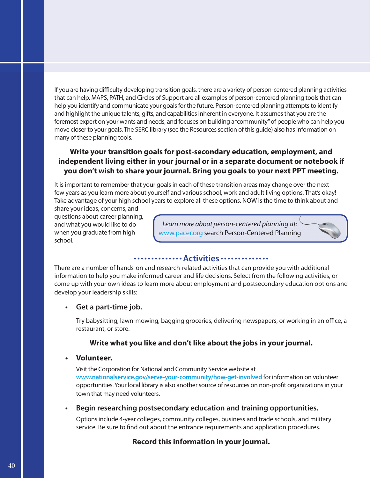If you are having difficulty developing transition goals, there are a variety of person-centered planning activities that can help. MAPS, PATH, and Circles of Support are all examples of person-centered planning tools that can help you identify and communicate your goals for the future. Person-centered planning attempts to identify and highlight the unique talents, gifts, and capabilities inherent in everyone. It assumes that you are the foremost expert on your wants and needs, and focuses on building a "community" of people who can help you move closer to your goals. The SERC library (see the Resources section of this guide) also has information on many of these planning tools.

#### **Write your transition goals for post-secondary education, employment, and independent living either in your journal or in a separate document or notebook if you don't wish to share your journal. Bring you goals to your next PPT meeting.**

It is important to remember that your goals in each of these transition areas may change over the next few years as you learn more about yourself and various school, work and adult living options. That's okay! Take advantage of your high school years to explore all these options. NOW is the time to think about and

share your ideas, concerns, and questions about career planning, and what you would like to do when you graduate from high school.

*Learn more about person-centered planning at:* www.pacer.org search Person-Centered Planning

#### **Activities**

There are a number of hands-on and research-related activities that can provide you with additional information to help you make informed career and life decisions. Select from the following activities, or come up with your own ideas to learn more about employment and postsecondary education options and develop your leadership skills:

#### **• Get a part-time job.**

Try babysitting, lawn-mowing, bagging groceries, delivering newspapers, or working in an office, a restaurant, or store.

#### **Write what you like and don't like about the jobs in your journal.**

#### **• Volunteer.**

Visit the Corporation for National and Community Service website at **www.nationalservice.gov/serve-your-community/how-get-involved** for information on volunteer opportunities. Your local library is also another source of resources on non-profit organizations in your town that may need volunteers.

#### **• Begin researching postsecondary education and training opportunities.**

Options include 4-year colleges, community colleges, business and trade schools, and military service. Be sure to find out about the entrance requirements and application procedures.

#### **Record this information in your journal.**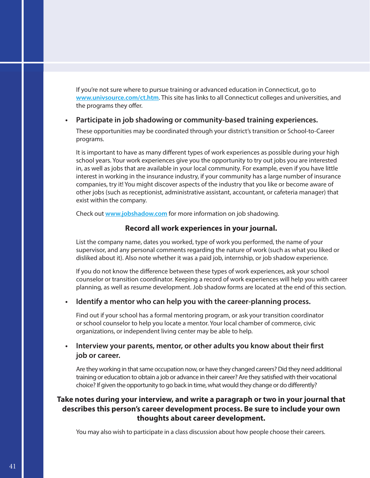If you're not sure where to pursue training or advanced education in Connecticut, go to **www.univsource.com/ct.htm**. This site has links to all Connecticut colleges and universities, and the programs they offer.

#### **• Participate in job shadowing or community-based training experiences.**

These opportunities may be coordinated through your district's transition or School-to-Career programs.

It is important to have as many different types of work experiences as possible during your high school years. Your work experiences give you the opportunity to try out jobs you are interested in, as well as jobs that are available in your local community. For example, even if you have little interest in working in the insurance industry, if your community has a large number of insurance companies, try it! You might discover aspects of the industry that you like or become aware of other jobs (such as receptionist, administrative assistant, accountant, or cafeteria manager) that exist within the company.

Check out **www.jobshadow.com** for more information on job shadowing.

#### **Record all work experiences in your journal.**

List the company name, dates you worked, type of work you performed, the name of your supervisor, and any personal comments regarding the nature of work (such as what you liked or disliked about it). Also note whether it was a paid job, internship, or job shadow experience.

If you do not know the difference between these types of work experiences, ask your school counselor or transition coordinator. Keeping a record of work experiences will help you with career planning, as well as resume development. Job shadow forms are located at the end of this section.

#### **• Identify a mentor who can help you with the career-planning process.**

Find out if your school has a formal mentoring program, or ask your transition coordinator or school counselor to help you locate a mentor. Your local chamber of commerce, civic organizations, or independent living center may be able to help.

#### **Interview your parents, mentor, or other adults you know about their first job or career.**

Are they working in that same occupation now, or have they changed careers? Did they need additional training or education to obtain a job or advance in their career? Are they satisfied with their vocational choice? If given the opportunity to go back in time, what would they change or do differently?

#### **Take notes during your interview, and write a paragraph or two in your journal that describes this person's career development process. Be sure to include your own thoughts about career development.**

You may also wish to participate in a class discussion about how people choose their careers.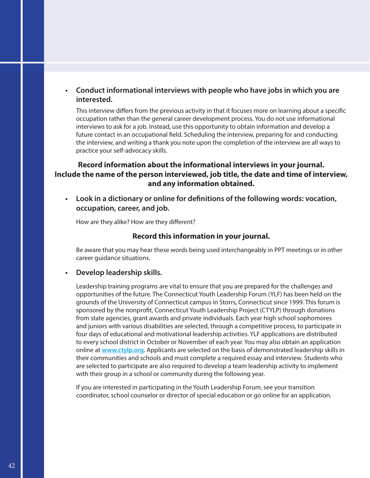#### **• Conduct informational interviews with people who have jobs in which you are interested.**

This interview differs from the previous activity in that it focuses more on learning about a specific occupation rather than the general career development process. You do not use informational interviews to ask for a job. Instead, use this opportunity to obtain information and develop a future contact in an occupational field. Scheduling the interview, preparing for and conducting the interview, and writing a thank you note upon the completion of the interview are all ways to practice your self-advocacy skills.

#### **Record information about the informational interviews in your journal. Include the name of the person interviewed, job title, the date and time of interview, and any information obtained.**

**•** Look in a dictionary or online for definitions of the following words: vocation, **occupation, career, and job.**

How are they alike? How are they different?

#### **Record this information in your journal.**

Be aware that you may hear these words being used interchangeably in PPT meetings or in other career guidance situations.

#### **• Develop leadership skills.**

Leadership training programs are vital to ensure that you are prepared for the challenges and opportunities of the future. The Connecticut Youth Leadership Forum (YLF) has been held on the grounds of the University of Connecticut campus in Storrs, Connecticut since 1999. This forum is sponsored by the nonprofit, Connecticut Youth Leadership Project (CTYLP) through donations from state agencies, grant awards and private individuals. Each year high school sophomores and juniors with various disabilities are selected, through a competitive process, to participate in four days of educational and motivational leadership activities. YLF applications are distributed to every school district in October or November of each year. You may also obtain an application online at **www.ctylp.org**. Applicants are selected on the basis of demonstrated leadership skills in their communities and schools and must complete a required essay and interview. Students who are selected to participate are also required to develop a team leadership activity to implement with their group in a school or community during the following year.

If you are interested in participating in the Youth Leadership Forum, see your transition coordinator, school counselor or director of special education or go online for an application.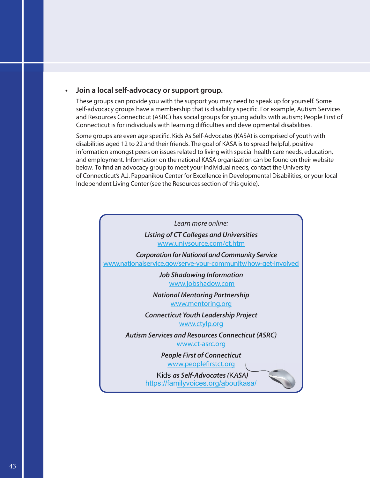#### **• Join a local self-advocacy or support group.**

These groups can provide you with the support you may need to speak up for yourself. Some self-advocacy groups have a membership that is disability specific. For example, Autism Services and Resources Connecticut (ASRC) has social groups for young adults with autism; People First of Connecticut is for individuals with learning difficulties and developmental disabilities.

Some groups are even age specific. Kids As Self-Advocates (KASA) is comprised of youth with disabilities aged 12 to 22 and their friends. The goal of KASA is to spread helpful, positive of Connecticut's A.J. Pappanikou Center for Excellence in Developmental Disabilities, or your local Independent Living Center (see the Resources section of this guide). information amongst peers on issues related to living with special health care needs, education, below. To find an advocacy group to meet your individual needs, contact the University and employment. Information on the national KASA organization can be found on their website

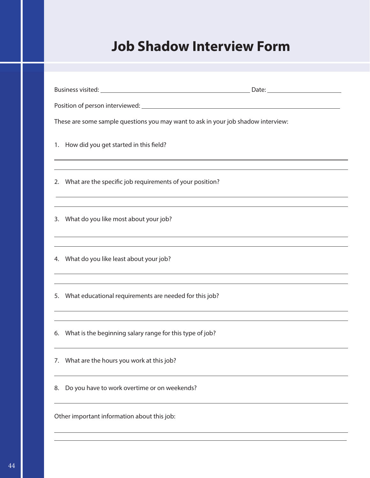## **Job Shadow Interview Form**

| These are some sample questions you may want to ask in your job shadow interview:                                              |  |  |
|--------------------------------------------------------------------------------------------------------------------------------|--|--|
| 1. How did you get started in this field?<br>,我们也不能在这里的时候,我们也不能在这里的时候,我们也不能不能不能不能不能不能不能不能不能不能不能不能不能不能。""我们,我们也不能不能不能不能不能不能不能不能 |  |  |
| 2. What are the specific job requirements of your position?                                                                    |  |  |
| ,我们也不能会有什么。""我们的人,我们也不能会有什么?""我们的人,我们也不能会有什么?""我们的人,我们也不能会有什么?""我们的人,我们也不能会有什么?""<br>3. What do you like most about your job?  |  |  |
| 4. What do you like least about your job?<br>,我们也不会有什么。""我们的人,我们也不会有什么?""我们的人,我们也不会有什么?""我们的人,我们也不会有什么?""我们的人,我们也不会有什么?""我们的人  |  |  |
| 5. What educational requirements are needed for this job?                                                                      |  |  |
| 6. What is the beginning salary range for this type of job?                                                                    |  |  |
| What are the hours you work at this job?<br>7.                                                                                 |  |  |
| Do you have to work overtime or on weekends?<br>8.                                                                             |  |  |
| Other important information about this job:                                                                                    |  |  |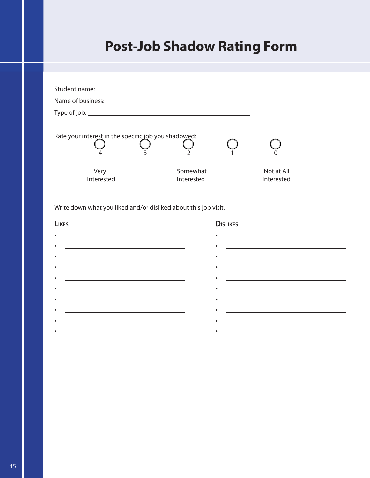# **Post-Job Shadow Rating Form**

| Rate your interest in the specific job you shadowed:            |                        |                          |  |
|-----------------------------------------------------------------|------------------------|--------------------------|--|
| Very<br>Interested                                              | Somewhat<br>Interested | Not at All<br>Interested |  |
| Write down what you liked and/or disliked about this job visit. |                        |                          |  |
| LIKES                                                           |                        | <b>DISLIKES</b>          |  |
| $\bullet$                                                       |                        |                          |  |

| <u> 1989 - Johann Barn, mars ann an t-Amhain ann an t-Amhain an t-Amhain an t-Amhain an t-Amhain ann an t-Amhain </u> | <u> 1980 - Andrea Stadt, fransk politik (d. 1980)</u>                                                                  |
|-----------------------------------------------------------------------------------------------------------------------|------------------------------------------------------------------------------------------------------------------------|
|                                                                                                                       |                                                                                                                        |
| <u> 1989 - Johann Stein, marwolaethau a bhann an t-Amhainn an t-Amhainn an t-Amhainn an t-Amhainn an t-Amhainn a</u>  | <u> 1980 - Andrea Stadt Britain, amerikansk politik (</u>                                                              |
|                                                                                                                       |                                                                                                                        |
| the control of the control of the control of the control of the control of the control of                             | <u> 1989 - Andrea Station, amerikansk politik (d. 1989)</u>                                                            |
|                                                                                                                       |                                                                                                                        |
| the control of the control of the control of the control of the control of the control of                             | <u> La Carlo Carlo Carlo Carlo Carlo Carlo Carlo Carlo Carlo Carlo Carlo Carlo Carlo Carlo Carlo Carlo Carlo Carlo</u> |
|                                                                                                                       |                                                                                                                        |
| <u> 1980 - Johann John Stein, marwolaethau (b. 1980)</u>                                                              | <u> 1989 - Andrea Stadt Britain, amerikansk politiker (</u>                                                            |
|                                                                                                                       |                                                                                                                        |
|                                                                                                                       |                                                                                                                        |
|                                                                                                                       |                                                                                                                        |
|                                                                                                                       |                                                                                                                        |
|                                                                                                                       |                                                                                                                        |
|                                                                                                                       |                                                                                                                        |
|                                                                                                                       |                                                                                                                        |
| <u> 1989 - Johann Stoff, deutscher Stoff, der Stoff, der Stoff, der Stoff, der Stoff, der Stoff, der Stoff, der S</u> |                                                                                                                        |
|                                                                                                                       |                                                                                                                        |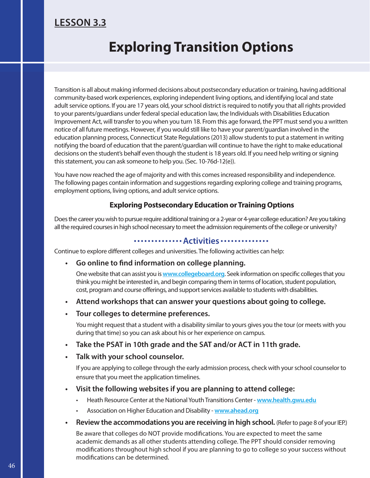### **LESSON 3.3**

## **Exploring Transition Options**

Transition is all about making informed decisions about postsecondary education or training, having additional community-based work experiences, exploring independent living options, and identifying local and state adult service options. If you are 17 years old, your school district is required to notify you that all rights provided to your parents/guardians under federal special education law, the Individuals with Disabilities Education Improvement Act, will transfer to you when you turn 18. From this age forward, the PPT must send you a written notice of all future meetings. However, if you would still like to have your parent/guardian involved in the education planning process, Connecticut State Regulations (2013) allow students to put a statement in writing notifying the board of education that the parent/guardian will continue to have the right to make educational decisions on the student's behalf even though the student is 18 years old. If you need help writing or signing this statement, you can ask someone to help you. (Sec. 10-76d-12(e)).

You have now reached the age of majority and with this comes increased responsibility and independence. The following pages contain information and suggestions regarding exploring college and training programs, employment options, living options, and adult service options.

#### **Exploring Postsecondary Education or Training Options**

Does the career you wish to pursue require additional training or a 2-year or 4-year college education? Are you taking all the required courses in high school necessary to meet the admission requirements of the college or university?

#### **Activities**

Continue to explore different colleges and universities. The following activities can help:

**•**  Go online to find information on college planning.

One website that can assist you is www.collegeboard.org. Seek information on specific colleges that you think you might be interested in, and begin comparing them in terms of location, student population, cost, program and course offerings, and support services available to students with disabilities.

- **Attend workshops that can answer your questions about going to college.**
- **Tour colleges to determine preferences.**

You might request that a student with a disability similar to yours gives you the tour (or meets with you during that time) so you can ask about his or her experience on campus.

- **Take the PSAT in 10th grade and the SAT and/or ACT in 11th grade.**
- **Talk with your school counselor.**

If you are applying to college through the early admission process, check with your school counselor to ensure that you meet the application timelines.

- **Visit the following websites if you are planning to attend college:**
	- Heath Resource Center at the National Youth Transitions Center **www.health.gwu.edu**
	- Association on Higher Education and Disability **www.ahead.org**
- **Review the accommodations you are receiving in high school.** (Refer to page 8 of your IEP.)

Be aware that colleges do NOT provide modifications. You are expected to meet the same academic demands as all other students attending college. The PPT should consider removing modifications throughout high school if you are planning to go to college so your success without modifications can be determined.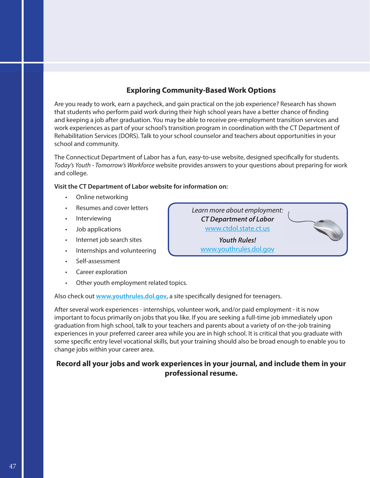#### **Exploring Community-Based Work Options**

Are you ready to work, earn a paycheck, and gain practical on the job experience? Research has shown that students who perform paid work during their high school years have a better chance of finding and keeping a job after graduation. You may be able to receive pre-employment transition services and work experiences as part of your school's transition program in coordination with the CT Department of Rehabilitation Services (DORS). Talk to your school counselor and teachers about opportunities in your school and community.

The Connecticut Department of Labor has a fun, easy-to-use website, designed specifically for students. *Today's Youth - Tomorrow's Workforce* website provides answers to your questions about preparing for work and college.

#### **Visit the CT Department of Labor website for information on:**

- Online networking
- Resumes and cover letters
- Interviewing
- Job applications
- Internet job search sites
- Internships and volunteering
- Self-assessment
- Career exploration
- Other youth employment related topics.

Also check out www.youthrules.dol.gov, a site specifically designed for teenagers.

After several work experiences - internships, volunteer work, and/or paid employment - it is now important to focus primarily on jobs that you like. If you are seeking a full-time job immediately upon graduation from high school, talk to your teachers and parents about a variety of on-the-job training experiences in your preferred career area while you are in high school. It is critical that you graduate with some specific entry level vocational skills, but your training should also be broad enough to enable you to change jobs within your career area.

#### **Record all your jobs and work experiences in your journal, and include them in your professional resume.**

*Learn more about employment: CT Department of Labor* www.ctdol.state.ct.us *Youth Rules!* www.youthrules.dol.gov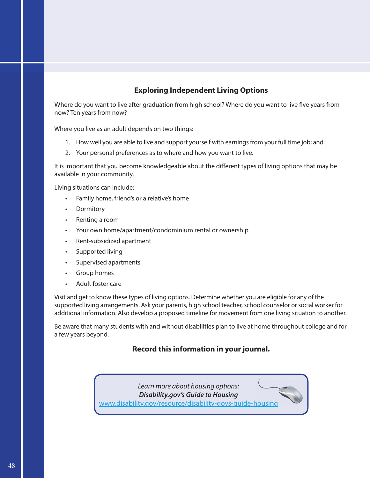#### **Exploring Independent Living Options**

Where do you want to live after graduation from high school? Where do you want to live five years from now? Ten years from now?

Where you live as an adult depends on two things:

- 1. How well you are able to live and support yourself with earnings from your full time job; and
- 2. Your personal preferences as to where and how you want to live.

It is important that you become knowledgeable about the different types of living options that may be available in your community.

Living situations can include:

- Family home, friend's or a relative's home
- Dormitory
- Renting a room
- Your own home/apartment/condominium rental or ownership
- Rent-subsidized apartment
- Supported living
- Supervised apartments
- Group homes
- Adult foster care

Visit and get to know these types of living options. Determine whether you are eligible for any of the supported living arrangements. Ask your parents, high school teacher, school counselor or social worker for additional information. Also develop a proposed timeline for movement from one living situation to another.

Be aware that many students with and without disabilities plan to live at home throughout college and for a few years beyond.

#### **Record this information in your journal.**

*Learn more about housing options: Disability.gov's Guide to Housing* www.disability.gov/resource/disability-govs-guide-housing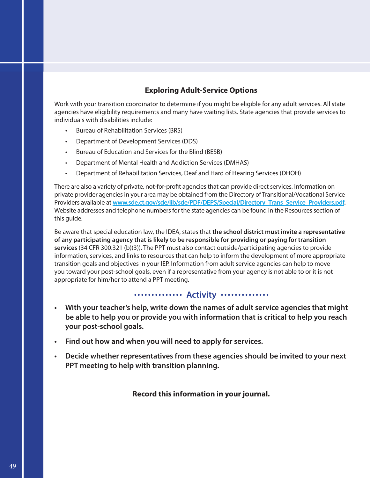#### **Exploring Adult-Service Options**

Work with your transition coordinator to determine if you might be eligible for any adult services. All state agencies have eligibility requirements and many have waiting lists. State agencies that provide services to individuals with disabilities include:

- Bureau of Rehabilitation Services (BRS)
- Department of Development Services (DDS)
- Bureau of Education and Services for the Blind (BESB)
- Department of Mental Health and Addiction Services (DMHAS)
- Department of Rehabilitation Services, Deaf and Hard of Hearing Services (DHOH)

There are also a variety of private, not-for-profit agencies that can provide direct services. Information on private provider agencies in your area may be obtained from the Directory of Transitional/Vocational Service Providers available at **www.sde.ct.gov/sde/lib/sde/PDF/DEPS/Special/Directory\_Trans\_Service\_Providers.pdf.**  Website addresses and telephone numbers for the state agencies can be found in the Resources section of this guide.

Be aware that special education law, the IDEA, states that **the school district must invite a representative of any participating agency that is likely to be responsible for providing or paying for transition services** (34 CFR 300.321 (b)(3)). The PPT must also contact outside/participating agencies to provide information, services, and links to resources that can help to inform the development of more appropriate transition goals and objectives in your IEP. Information from adult service agencies can help to move you toward your post-school goals, even if a representative from your agency is not able to or it is not appropriate for him/her to attend a PPT meeting.

#### **Activity** ..............

- **• With your teacher's help, write down the names of adult service agencies that might be able to help you or provide you with information that is critical to help you reach your post-school goals.**
- **• Find out how and when you will need to apply for services.**
- **• Decide whether representatives from these agencies should be invited to your next PPT meeting to help with transition planning.**

#### **Record this information in your journal.**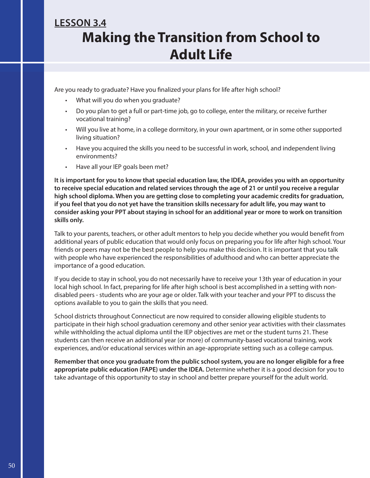### **Making the Transition from School to Adult Life LESSON 3.4**

Are you ready to graduate? Have you finalized your plans for life after high school?

- What will you do when you graduate?
- Do you plan to get a full or part-time job, go to college, enter the military, or receive further vocational training?
- Will you live at home, in a college dormitory, in your own apartment, or in some other supported living situation?
- Have you acquired the skills you need to be successful in work, school, and independent living environments?
- Have all your IEP goals been met?

**It is important for you to know that special education law, the IDEA, provides you with an opportunity to receive special education and related services through the age of 21 or until you receive a regular high school diploma. When you are getting close to completing your academic credits for graduation, if you feel that you do not yet have the transition skills necessary for adult life, you may want to consider asking your PPT about staying in school for an additional year or more to work on transition skills only.** 

Talk to your parents, teachers, or other adult mentors to help you decide whether you would benefit from additional years of public education that would only focus on preparing you for life after high school. Your friends or peers may not be the best people to help you make this decision. It is important that you talk with people who have experienced the responsibilities of adulthood and who can better appreciate the importance of a good education.

If you decide to stay in school, you do not necessarily have to receive your 13th year of education in your local high school. In fact, preparing for life after high school is best accomplished in a setting with nondisabled peers - students who are your age or older. Talk with your teacher and your PPT to discuss the options available to you to gain the skills that you need.

School districts throughout Connecticut are now required to consider allowing eligible students to participate in their high school graduation ceremony and other senior year activities with their classmates while withholding the actual diploma until the IEP objectives are met or the student turns 21. These students can then receive an additional year (or more) of community-based vocational training, work experiences, and/or educational services within an age-appropriate setting such as a college campus.

**Remember that once you graduate from the public school system, you are no longer eligible for a free appropriate public education (FAPE) under the IDEA.** Determine whether it is a good decision for you to take advantage of this opportunity to stay in school and better prepare yourself for the adult world.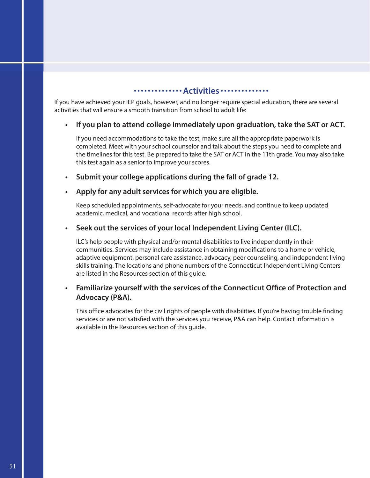#### **Activities** ........

If you have achieved your IEP goals, however, and no longer require special education, there are several activities that will ensure a smooth transition from school to adult life:

#### **• If you plan to attend college immediately upon graduation, take the SAT or ACT.**

If you need accommodations to take the test, make sure all the appropriate paperwork is completed. Meet with your school counselor and talk about the steps you need to complete and the timelines for this test. Be prepared to take the SAT or ACT in the 11th grade. You may also take this test again as a senior to improve your scores.

**• Submit your college applications during the fall of grade 12.**

#### **• Apply for any adult services for which you are eligible.**

Keep scheduled appointments, self-advocate for your needs, and continue to keep updated academic, medical, and vocational records after high school.

#### **• Seek out the services of your local Independent Living Center (ILC).**

ILC's help people with physical and/or mental disabilities to live independently in their communities. Services may include assistance in obtaining modifications to a home or vehicle, adaptive equipment, personal care assistance, advocacy, peer counseling, and independent living skills training. The locations and phone numbers of the Connecticut Independent Living Centers are listed in the Resources section of this guide.

#### **•** Familiarize yourself with the services of the Connecticut Office of Protection and **Advocacy (P&A).**

This office advocates for the civil rights of people with disabilities. If you're having trouble finding services or are not satisfied with the services you receive, P&A can help. Contact information is available in the Resources section of this guide.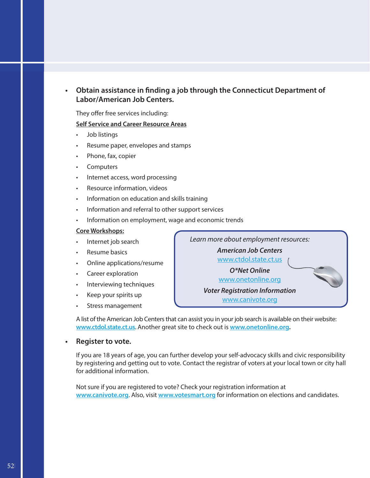#### **Obtain assistance in finding a job through the Connecticut Department of Labor/American Job Centers.**

They offer free services including:

#### **Self Service and Career Resource Areas**

- Job listings
- Resume paper, envelopes and stamps
- Phone, fax, copier
- **Computers**
- Internet access, word processing
- Resource information, videos
- Information on education and skills training
- Information and referral to other support services
- Information on employment, wage and economic trends

#### **Core Workshops:**

- Internet job search
- Resume basics
- Online applications/resume
- Career exploration
- Interviewing techniques
- Keep your spirits up
- Stress management

*Learn more about employment resources:* 

*American Job Centers*

www.ctdol.state.ct.us

*O\*Net Online* www.onetonline.org

*Voter Registration Information* www.canivote.org

A list of the American Job Centers that can assist you in your job search is available on their website: **www.ctdol.state.ct.us**. Another great site to check out is **www.onetonline.org.**

#### **• Register to vote.**

If you are 18 years of age, you can further develop your self-advocacy skills and civic responsibility by registering and getting out to vote. Contact the registrar of voters at your local town or city hall for additional information.

Not sure if you are registered to vote? Check your registration information at **www.canivote.org**. Also, visit **www.votesmart.org** for information on elections and candidates.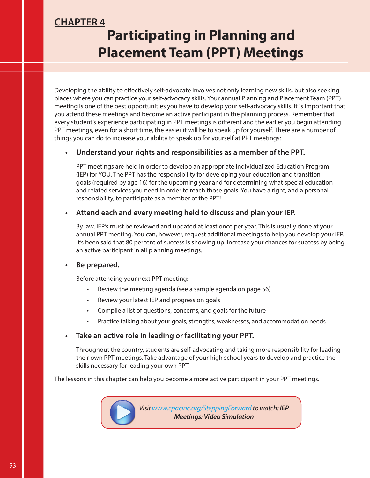### **CHAPTER 4 Participating in Planning and Placement Team (PPT) Meetings**

Developing the ability to effectively self-advocate involves not only learning new skills, but also seeking places where you can practice your self-advocacy skills. Your annual Planning and Placement Team (PPT) meeting is one of the best opportunities you have to develop your self-advocacy skills. It is important that you attend these meetings and become an active participant in the planning process. Remember that every student's experience participating in PPT meetings is different and the earlier you begin attending PPT meetings, even for a short time, the easier it will be to speak up for yourself. There are a number of things you can do to increase your ability to speak up for yourself at PPT meetings:

#### **• Understand your rights and responsibilities as a member of the PPT.**

PPT meetings are held in order to develop an appropriate Individualized Education Program (IEP) for YOU. The PPT has the responsibility for developing your education and transition goals (required by age 16) for the upcoming year and for determining what special education and related services you need in order to reach those goals. You have a right, and a personal responsibility, to participate as a member of the PPT!

#### **• Attend each and every meeting held to discuss and plan your IEP.**

By law, IEP's must be reviewed and updated at least once per year. This is usually done at your annual PPT meeting. You can, however, request additional meetings to help you develop your IEP. It's been said that 80 percent of success is showing up. Increase your chances for success by being an active participant in all planning meetings.

#### **• Be prepared.**

Before attending your next PPT meeting:

- Review the meeting agenda (see a sample agenda on page 56)
- Review your latest IEP and progress on goals
- Compile a list of questions, concerns, and goals for the future
- Practice talking about your goals, strengths, weaknesses, and accommodation needs

#### **• Take an active role in leading or facilitating your PPT.**

Throughout the country, students are self-advocating and taking more responsibility for leading their own PPT meetings. Take advantage of your high school years to develop and practice the skills necessary for leading your own PPT.

The lessons in this chapter can help you become a more active participant in your PPT meetings.

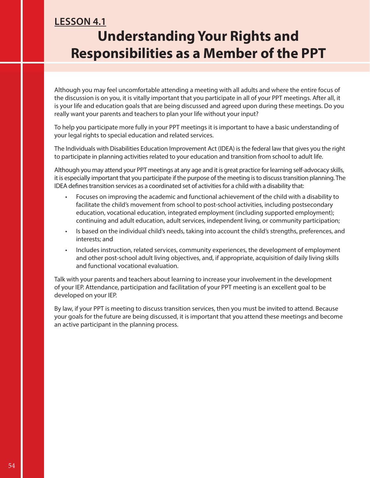### **LESSON 4.1 Understanding Your Rights and Responsibilities as a Member of the PPT**

Although you may feel uncomfortable attending a meeting with all adults and where the entire focus of the discussion is on you, it is vitally important that you participate in all of your PPT meetings. After all, it is your life and education goals that are being discussed and agreed upon during these meetings. Do you really want your parents and teachers to plan your life without your input?

To help you participate more fully in your PPT meetings it is important to have a basic understanding of your legal rights to special education and related services.

The Individuals with Disabilities Education Improvement Act (IDEA) is the federal law that gives you the right to participate in planning activities related to your education and transition from school to adult life.

Although you may attend your PPT meetings at any age and it is great practice for learning self-advocacy skills, it is especially important that you participate if the purpose of the meeting is to discuss transition planning. The IDEA defines transition services as a coordinated set of activities for a child with a disability that:

- Focuses on improving the academic and functional achievement of the child with a disability to facilitate the child's movement from school to post-school activities, including postsecondary education, vocational education, integrated employment (including supported employment); continuing and adult education, adult services, independent living, or community participation;
- Is based on the individual child's needs, taking into account the child's strengths, preferences, and interests; and
- Includes instruction, related services, community experiences, the development of employment and other post-school adult living objectives, and, if appropriate, acquisition of daily living skills and functional vocational evaluation.

Talk with your parents and teachers about learning to increase your involvement in the development of your IEP. Attendance, participation and facilitation of your PPT meeting is an excellent goal to be developed on your IEP.

By law, if your PPT is meeting to discuss transition services, then you must be invited to attend. Because your goals for the future are being discussed, it is important that you attend these meetings and become an active participant in the planning process.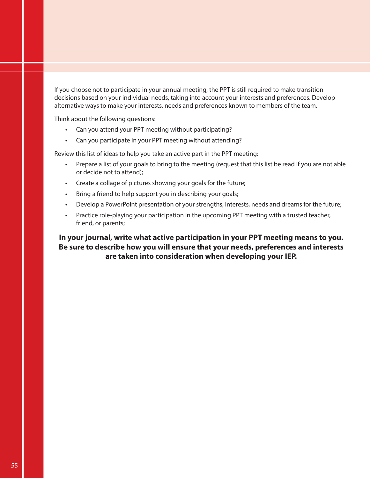If you choose not to participate in your annual meeting, the PPT is still required to make transition decisions based on your individual needs, taking into account your interests and preferences. Develop alternative ways to make your interests, needs and preferences known to members of the team.

Think about the following questions:

- Can you attend your PPT meeting without participating?
- Can you participate in your PPT meeting without attending?

Review this list of ideas to help you take an active part in the PPT meeting:

- Prepare a list of your goals to bring to the meeting (request that this list be read if you are not able or decide not to attend);
- Create a collage of pictures showing your goals for the future;
- Bring a friend to help support you in describing your goals;
- Develop a PowerPoint presentation of your strengths, interests, needs and dreams for the future;
- Practice role-playing your participation in the upcoming PPT meeting with a trusted teacher, friend, or parents;

#### **In your journal, write what active participation in your PPT meeting means to you. Be sure to describe how you will ensure that your needs, preferences and interests are taken into consideration when developing your IEP.**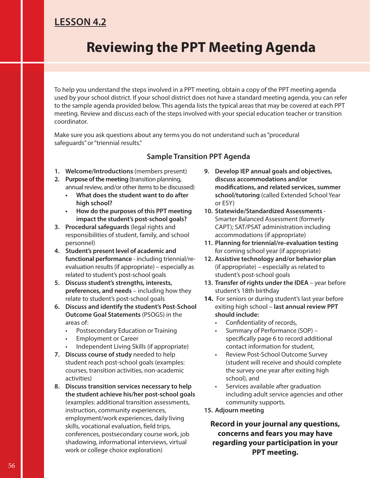### **LESSON 4.2**

## **Reviewing the PPT Meeting Agenda**

To help you understand the steps involved in a PPT meeting, obtain a copy of the PPT meeting agenda used by your school district. If your school district does not have a standard meeting agenda, you can refer to the sample agenda provided below. This agenda lists the typical areas that may be covered at each PPT meeting. Review and discuss each of the steps involved with your special education teacher or transition coordinator.

Make sure you ask questions about any terms you do not understand such as "procedural safeguards" or "triennial results."

#### **Sample Transition PPT Agenda**

- **1. Welcome/Introductions** (members present)
- **2. Purpose of the meeting** (transition planning, annual review, and/or other items to be discussed)
	- **What does the student want to do after high school?**
	- **How do the purposes of this PPT meeting impact the student's post-school goals?**
- **3. Procedural safeguards** (legal rights and responsibilities of student, family, and school personnel)
- **4. Student's present level of academic and functional performance** - including triennial/reevaluation results (if appropriate) – especially as related to student's post-school goals
- **5. Discuss student's strengths, interests, preferences, and needs** – including how they relate to student's post-school goals
- **6. Discuss and identify the student's Post-School Outcome Goal Statements** (PSOGS) in the areas of:
	- Postsecondary Education or Training
	- Employment or Career
	- Independent Living Skills (if appropriate)
- **7. Discuss course of study** needed to help student reach post-school goals (examples: courses, transition activities, non-academic activities)
- **8. Discuss transition services necessary to help the student achieve his/her post-school goals**  (examples: additional transition assessments, instruction, community experiences, employment/work experiences, daily living skills, vocational evaluation, field trips, conferences, postsecondary course work, job shadowing, informational interviews, virtual work or college choice exploration)
- **9. Develop IEP annual goals and objectives, discuss accommodations and/or**  modifications, and related services, summer **school/tutoring** (called Extended School Year or ESY)
- **10. Statewide/Standardized Assessments**  Smarter Balanced Assessment (formerly CAPT); SAT/PSAT administration including accommodations (if appropriate)
- **11. Planning for triennial/re-evaluation testing** for coming school year (if appropriate)
- **12. Assistive technology and/or behavior plan** (if appropriate) – especially as related to student's post-school goals
- **13. Transfer of rights under the IDEA**  year before student's 18th birthday
- **14.** For seniors or during student's last year before exiting high school – **last annual review PPT should include:**
	- Confidentiality of records,
	- Summary of Performance (SOP) specifically page 6 to record additional contact information for student,
	- Review Post-School Outcome Survey (student will receive and should complete the survey one year after exiting high school), and
	- Services available after graduation including adult service agencies and other community supports.
- **15. Adjourn meeting**

**Record in your journal any questions, concerns and fears you may have regarding your participation in your PPT meeting.**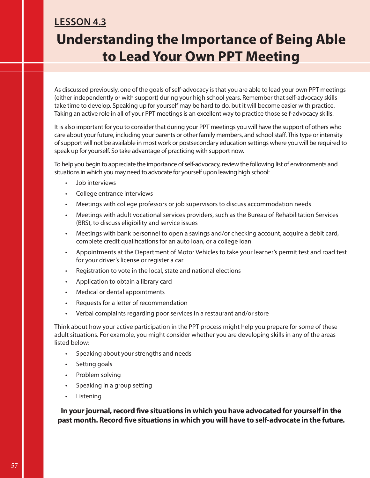## **LESSON 4.3 Understanding the Importance of Being Able to Lead Your Own PPT Meeting**

As discussed previously, one of the goals of self-advocacy is that you are able to lead your own PPT meetings (either independently or with support) during your high school years. Remember that self-advocacy skills take time to develop. Speaking up for yourself may be hard to do, but it will become easier with practice. Taking an active role in all of your PPT meetings is an excellent way to practice those self-advocacy skills.

It is also important for you to consider that during your PPT meetings you will have the support of others who care about your future, including your parents or other family members, and school staff. This type or intensity of support will not be available in most work or postsecondary education settings where you will be required to speak up for yourself. So take advantage of practicing with support now.

To help you begin to appreciate the importance of self-advocacy, review the following list of environments and situations in which you may need to advocate for yourself upon leaving high school:

- Job interviews
- College entrance interviews
- Meetings with college professors or job supervisors to discuss accommodation needs
- Meetings with adult vocational services providers, such as the Bureau of Rehabilitation Services (BRS), to discuss eligibility and service issues
- Meetings with bank personnel to open a savings and/or checking account, acquire a debit card, complete credit qualifications for an auto loan, or a college loan
- Appointments at the Department of Motor Vehicles to take your learner's permit test and road test for your driver's license or register a car
- Registration to vote in the local, state and national elections
- Application to obtain a library card
- Medical or dental appointments
- Requests for a letter of recommendation
- Verbal complaints regarding poor services in a restaurant and/or store

Think about how your active participation in the PPT process might help you prepare for some of these adult situations. For example, you might consider whether you are developing skills in any of the areas listed below:

- Speaking about your strengths and needs
- Setting goals
- Problem solving
- Speaking in a group setting
- **Listening**

In your journal, record five situations in which you have advocated for yourself in the past month. Record five situations in which you will have to self-advocate in the future.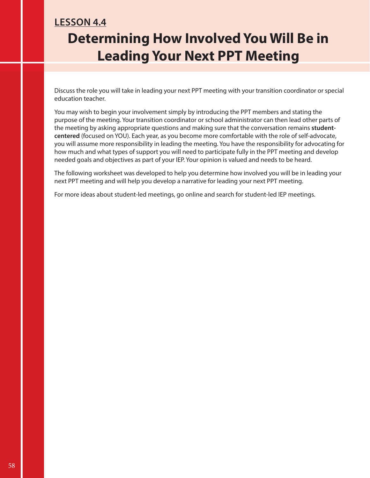### **LESSON 4.4 Determining How Involved You Will Be in Leading Your Next PPT Meeting**

Discuss the role you will take in leading your next PPT meeting with your transition coordinator or special education teacher.

You may wish to begin your involvement simply by introducing the PPT members and stating the purpose of the meeting. Your transition coordinator or school administrator can then lead other parts of the meeting by asking appropriate questions and making sure that the conversation remains **studentcentered** (focused on YOU). Each year, as you become more comfortable with the role of self-advocate, you will assume more responsibility in leading the meeting. You have the responsibility for advocating for how much and what types of support you will need to participate fully in the PPT meeting and develop needed goals and objectives as part of your IEP. Your opinion is valued and needs to be heard.

The following worksheet was developed to help you determine how involved you will be in leading your next PPT meeting and will help you develop a narrative for leading your next PPT meeting.

For more ideas about student-led meetings, go online and search for student-led IEP meetings.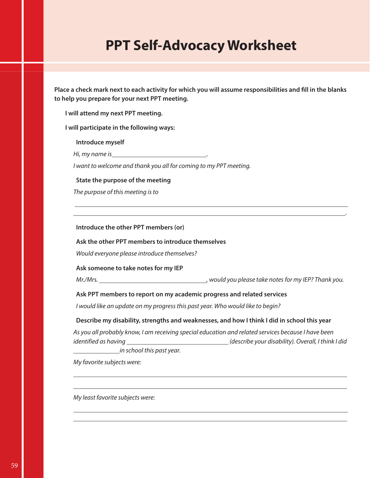## **PPT Self-Advocacy Worksheet**

Place a check mark next to each activity for which you will assume responsibilities and fill in the blanks **to help you prepare for your next PPT meeting.**

**I will attend my next PPT meeting.**

**I will participate in the following ways:**

#### **Introduce myself**

*Hi, my name is .* 

*I want to welcome and thank you all for coming to my PPT meeting.*

#### **State the purpose of the meeting**

*The purpose of this meeting is to*

**Introduce the other PPT members (or)**

#### **Ask the other PPT members to introduce themselves**

*Would everyone please introduce themselves?*

#### **Ask someone to take notes for my IEP**

*Mr./Mrs. , would you please take notes for my IEP? Thank you.*

 *.*

#### **Ask PPT members to report on my academic progress and related services**

*I would like an update on my progress this past year. Who would like to begin?*

#### **Describe my disability, strengths and weaknesses, and how I think I did in school this year**

*As you all probably know, I am receiving special education and related services because I have been identified as having* \_\_\_\_\_\_\_\_\_\_\_\_\_\_\_\_\_\_\_\_\_\_\_\_\_\_\_\_\_\_\_(describe your disability). Overall, I think I did

 *in school this past year.*

*My favorite subjects were:* 

*My least favorite subjects were:*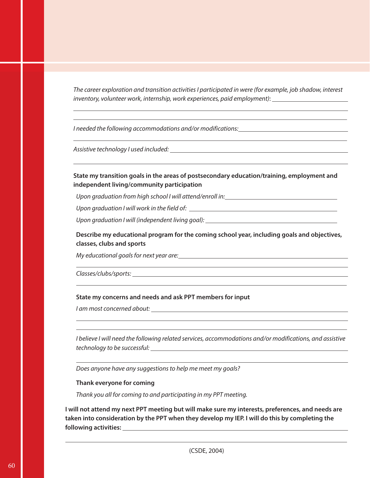*The career exploration and transition activities I participated in were (for example, job shadow, interest inventory, volunteer work, internship, work experiences, paid employment)*:

*I needed the following accommodations and/or modifications:* 

*Assistive technology I used included:* 

 $\overline{a}$  $\overline{a}$ 

 $\overline{a}$ 

 $\overline{a}$ 

 $\overline{a}$  $\overline{a}$ 

**State my transition goals in the areas of postsecondary education/training, employment and independent living/community participation** 

*Upon graduation from high school I will attend/enroll in:*

*Upon graduation I will work in the field of:* 

*Upon graduation I will (independent living goal):* 

**Describe my educational program for the coming school year, including goals and objectives, classes, clubs and sports**

*My educational goals for next year are:*

*Classes/clubs/sports:* 

#### **State my concerns and needs and ask PPT members for input**

*I am most concerned about:* 

*I believe I will need the following related services, accommodations and/or modifications, and assistive technology to be successful:* 

*Does anyone have any suggestions to help me meet my goals?*

#### **Thank everyone for coming**

*Thank you all for coming to and participating in my PPT meeting.*

**I will not attend my next PPT meeting but will make sure my interests, preferences, and needs are taken into consideration by the PPT when they develop my IEP. I will do this by completing the following activities:**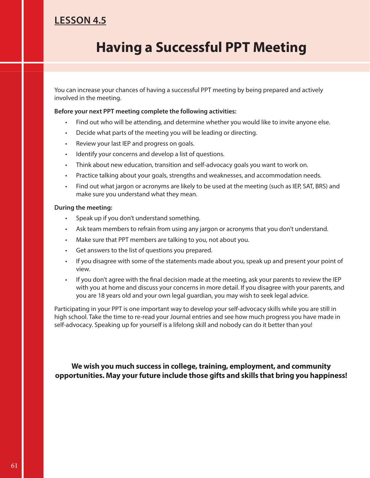### **LESSON 4.5**

## **Having a Successful PPT Meeting**

You can increase your chances of having a successful PPT meeting by being prepared and actively involved in the meeting.

#### **Before your next PPT meeting complete the following activities:**

- Find out who will be attending, and determine whether you would like to invite anyone else.
- Decide what parts of the meeting you will be leading or directing.
- Review your last IEP and progress on goals.
- Identify your concerns and develop a list of questions.
- Think about new education, transition and self-advocacy goals you want to work on.
- Practice talking about your goals, strengths and weaknesses, and accommodation needs.
- Find out what jargon or acronyms are likely to be used at the meeting (such as IEP, SAT, BRS) and make sure you understand what they mean.

#### **During the meeting:**

- Speak up if you don't understand something.
- Ask team members to refrain from using any jargon or acronyms that you don't understand.
- Make sure that PPT members are talking to you, not about you.
- Get answers to the list of questions you prepared.
- If you disagree with some of the statements made about you, speak up and present your point of view.
- If you don't agree with the final decision made at the meeting, ask your parents to review the IEP with you at home and discuss your concerns in more detail. If you disagree with your parents, and you are 18 years old and your own legal guardian, you may wish to seek legal advice.

Participating in your PPT is one important way to develop your self-advocacy skills while you are still in high school. Take the time to re-read your Journal entries and see how much progress you have made in self-advocacy. Speaking up for yourself is a lifelong skill and nobody can do it better than you!

**We wish you much success in college, training, employment, and community opportunities. May your future include those gifts and skills that bring you happiness!**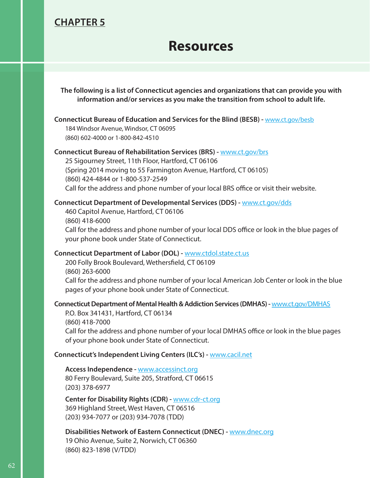### **CHAPTER 5**

### **Resources**

**The following is a list of Connecticut agencies and organizations that can provide you with information and/or services as you make the transition from school to adult life.**

#### **Connecticut Bureau of Education and Services for the Blind (BESB) -** www.ct.gov/besb

184 Windsor Avenue, Windsor, CT 06095 (860) 602-4000 or 1-800-842-4510

#### **Connecticut Bureau of Rehabilitation Services (BRS) -** www.ct.gov/brs

25 Sigourney Street, 11th Floor, Hartford, CT 06106 (Spring 2014 moving to 55 Farmington Avenue, Hartford, CT 06105) (860) 424-4844 or 1-800-537-2549 Call for the address and phone number of your local BRS office or visit their website.

#### **Connecticut Department of Developmental Services (DDS) -** www.ct.gov/dds

460 Capitol Avenue, Hartford, CT 06106 (860) 418-6000 Call for the address and phone number of your local DDS office or look in the blue pages of your phone book under State of Connecticut.

#### **Connecticut Department of Labor (DOL) -** www.ctdol.state.ct.us

200 Folly Brook Boulevard, Wethersfield, CT 06109 (860) 263-6000 Call for the address and phone number of your local American Job Center or look in the blue pages of your phone book under State of Connecticut.

#### **Connecticut Department of Mental Health & Addiction Services (DMHAS) -** www.ct.gov/DMHAS

P.O. Box 341431, Hartford, CT 06134 (860) 418-7000 Call for the address and phone number of your local DMHAS office or look in the blue pages of your phone book under State of Connecticut.

#### **Connecticut's Independent Living Centers (ILC's) -** www.cacil.net

**Access Independence -** www.accessinct.org 80 Ferry Boulevard, Suite 205, Stratford, CT 06615 (203) 378-6977

**Center for Disability Rights (CDR) -** www.cdr-ct.org 369 Highland Street, West Haven, CT 06516 (203) 934-7077 or (203) 934-7078 (TDD)

**Disabilities Network of Eastern Connecticut (DNEC) -** www.dnec.org 19 Ohio Avenue, Suite 2, Norwich, CT 06360 (860) 823-1898 (V/TDD)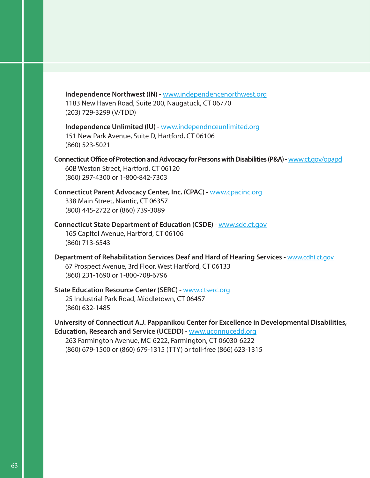**Independence Northwest (IN) -** www.independencenorthwest.org 1183 New Haven Road, Suite 200, Naugatuck, CT 06770 (203) 729-3299 (V/TDD)

**Independence Unlimited (IU) -** www.independnceunlimited.org 151 New Park Avenue, Suite D, Hartford, CT 06106 (860) 523-5021

**Connecticut Office of Protection and Advocacy for Persons with Disabilities (P&A) - www.ct.gov/opapd** 60B Weston Street, Hartford, CT 06120 (860) 297-4300 or 1-800-842-7303

**Connecticut Parent Advocacy Center, Inc. (CPAC) -** www.cpacinc.org 338 Main Street, Niantic, CT 06357 (800) 445-2722 or (860) 739-3089

**Connecticut State Department of Education (CSDE) -** www.sde.ct.gov 165 Capitol Avenue, Hartford, CT 06106 (860) 713-6543

**Department of Rehabilitation Services Deaf and Hard of Hearing Services - www.cdhi.ct.gov** 67 Prospect Avenue, 3rd Floor, West Hartford, CT 06133 (860) 231-1690 or 1-800-708-6796

**State Education Resource Center (SERC) -** www.ctserc.org 25 Industrial Park Road, Middletown, CT 06457 (860) 632-1485

**University of Connecticut A.J. Pappanikou Center for Excellence in Developmental Disabilities, Education, Research and Service (UCEDD) -** www.uconnucedd.org

263 Farmington Avenue, MC-6222, Farmington, CT 06030-6222 (860) 679-1500 or (860) 679-1315 (TTY) or toll-free (866) 623-1315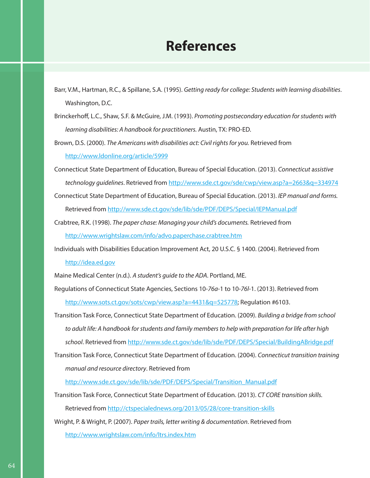### **References**

Barr, V.M., Hartman, R.C., & Spillane, S.A. (1995). *Getting ready for college: Students with learning disabilities*. Washington, D.C.

Brinckerhoff, L.C., Shaw, S.F. & McGuire, J.M. (1993). *Promoting postsecondary education for students with learning disabilities: A handbook for practitioners.* Austin, TX: PRO-ED.

Brown, D.S. (2000). *The Americans with disabilities act: Civil rights for you.* Retrieved from http://www.ldonline.org/article/5999

Connecticut State Department of Education, Bureau of Special Education. (2013). *Connecticut* a*ssistive technology guidelines*. Retrieved from http://www.sde.ct.gov/sde/cwp/view.asp?a=2663&q=334974

Connecticut State Department of Education, Bureau of Special Education. (2013). *IEP manual and forms.* Retrieved from http://www.sde.ct.gov/sde/lib/sde/PDF/DEPS/Special/IEPManual.pdf

Crabtree, R.K. (1998). *The paper chase: Managing your child's documents.* Retrieved from http://www.wrightslaw.com/info/advo.paperchase.crabtree.htm

Individuals with Disabilities Education Improvement Act, 20 U.S.C. § 1400. (2004). Retrieved from http://idea.ed.gov

Maine Medical Center (n.d.). *A student's guide to the ADA*. Portland, ME.

Regulations of Connecticut State Agencies, Sections 10-*76a*-1 to 10-*76l*-1. (2013). Retrieved from http://www.sots.ct.gov/sots/cwp/view.asp?a=4431&q=525778; Regulation #6103.

Transition Task Force, Connecticut State Department of Education. (2009). *Building a bridge from school to adult life: A handbook for students and family members to help with preparation for life after high school*. Retrieved from http://www.sde.ct.gov/sde/lib/sde/PDF/DEPS/Special/BuildingABridge.pdf

Transition Task Force, Connecticut State Department of Education. (2004). *Connecticut transition training manual and resource directory*. Retrieved from

http://www.sde.ct.gov/sde/lib/sde/PDF/DEPS/Special/Transition\_Manual.pdf

Transition Task Force, Connecticut State Department of Education. (2013). *CT CORE transition skills.* Retrieved from http://ctspecialednews.org/2013/05/28/core-transition-skills

Wright, P. & Wright, P. (2007). *Paper trails, letter writing & documentation*. Retrieved from http://www.wrightslaw.com/info/ltrs.index.htm